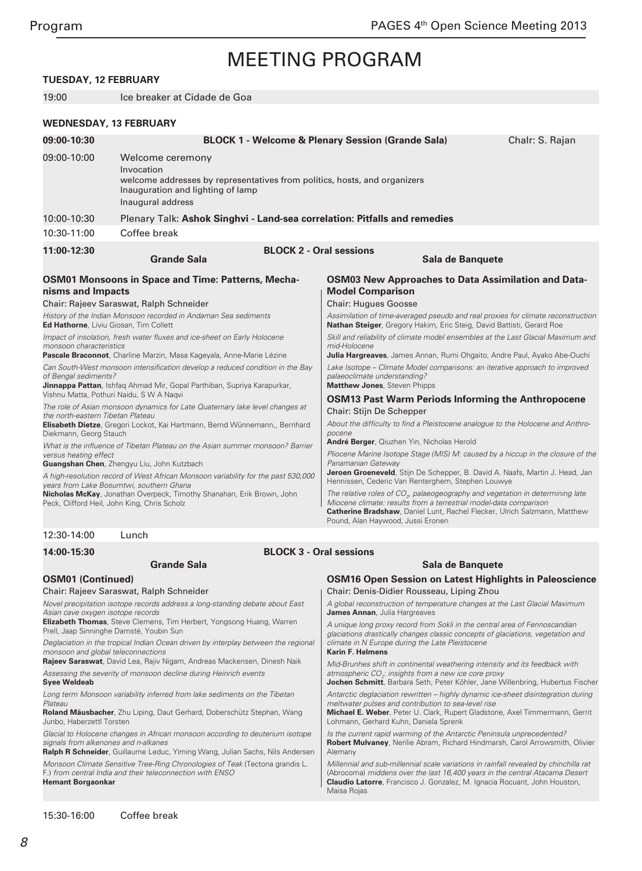### **TUESDAY, 12 FEBRUARY**

19:00 Ice breaker at Cidade de Goa

#### **WEDNESDAY, 13 FEBRUARY**

| 09:00-10:30                                                                                                                                                                                          |                                                                                                                                                                                                                                                                                                                                                                                                                                                                                                                                                                                                                                                                                                                                                                                    | <b>BLOCK 1 - Welcome &amp; Plenary Session (Grande Sala)</b>                                                                                                                                                                                                                                                                                                                                                                                                                                                                                                                                                                                                                                                                                                                                                                                                        | Chalr: S. Rajan |
|------------------------------------------------------------------------------------------------------------------------------------------------------------------------------------------------------|------------------------------------------------------------------------------------------------------------------------------------------------------------------------------------------------------------------------------------------------------------------------------------------------------------------------------------------------------------------------------------------------------------------------------------------------------------------------------------------------------------------------------------------------------------------------------------------------------------------------------------------------------------------------------------------------------------------------------------------------------------------------------------|---------------------------------------------------------------------------------------------------------------------------------------------------------------------------------------------------------------------------------------------------------------------------------------------------------------------------------------------------------------------------------------------------------------------------------------------------------------------------------------------------------------------------------------------------------------------------------------------------------------------------------------------------------------------------------------------------------------------------------------------------------------------------------------------------------------------------------------------------------------------|-----------------|
| 09:00-10:00                                                                                                                                                                                          | Welcome ceremony<br>Invocation<br>welcome addresses by representatives from politics, hosts, and organizers<br>Inauguration and lighting of lamp<br>Inaugural address                                                                                                                                                                                                                                                                                                                                                                                                                                                                                                                                                                                                              |                                                                                                                                                                                                                                                                                                                                                                                                                                                                                                                                                                                                                                                                                                                                                                                                                                                                     |                 |
| 10:00-10:30                                                                                                                                                                                          | Plenary Talk: Ashok Singhvi - Land-sea correlation: Pitfalls and remedies                                                                                                                                                                                                                                                                                                                                                                                                                                                                                                                                                                                                                                                                                                          |                                                                                                                                                                                                                                                                                                                                                                                                                                                                                                                                                                                                                                                                                                                                                                                                                                                                     |                 |
| 10:30-11:00                                                                                                                                                                                          | Coffee break                                                                                                                                                                                                                                                                                                                                                                                                                                                                                                                                                                                                                                                                                                                                                                       |                                                                                                                                                                                                                                                                                                                                                                                                                                                                                                                                                                                                                                                                                                                                                                                                                                                                     |                 |
| 11:00-12:30                                                                                                                                                                                          | <b>BLOCK 2 - Oral sessions</b><br><b>Grande Sala</b><br>Sala de Banquete                                                                                                                                                                                                                                                                                                                                                                                                                                                                                                                                                                                                                                                                                                           |                                                                                                                                                                                                                                                                                                                                                                                                                                                                                                                                                                                                                                                                                                                                                                                                                                                                     |                 |
| nisms and Impacts<br><b>Ed Hathorne, Liviu Giosan, Tim Collett</b><br>monsoon characteristics<br>of Bengal sediments?<br>the north-eastern Tibetan Plateau<br>Diekmann, Georg Stauch                 | <b>OSM01 Monsoons in Space and Time: Patterns, Mecha-</b><br>Chair: Rajeev Saraswat, Ralph Schneider<br>History of the Indian Monsoon recorded in Andaman Sea sediments<br>Impact of insolation, fresh water fluxes and ice-sheet on Early Holocene<br>Pascale Braconnot, Charline Marzin, Masa Kageyala, Anne-Marie Lézine<br>Can South-West monsoon intensification develop a reduced condition in the Bay<br>Jinnappa Pattan, Ishfaq Ahmad Mir, Gopal Parthiban, Supriya Karapurkar,<br>Vishnu Matta, Pothuri Naidu, S W A Nagvi<br>The role of Asian monsoon dynamics for Late Quaternary lake level changes at<br>Elisabeth Dietze, Gregori Lockot, Kai Hartmann, Bernd Wünnemann,, Bernhard<br>What is the influence of Tibetan Plateau on the Asian summer monsoon? Barrier | <b>OSM03 New Approaches to Data Assimilation and Data-</b><br><b>Model Comparison</b><br><b>Chair: Hugues Goosse</b><br>Assimilation of time-averaged pseudo and real proxies for climate reconstruction<br>Nathan Steiger, Gregory Hakim, Eric Steig, David Battisti, Gerard Roe<br>Skill and reliability of climate model ensembles at the Last Glacial Maximum and<br>mid-Holocene<br><b>Julia Hargreaves</b> , James Annan, Rumi Ohgaito, Andre Paul, Ayako Abe-Ouchi<br>Lake Isotope – Climate Model comparisons: an iterative approach to improved<br>palaeoclimate understanding?<br><b>Matthew Jones, Steven Phipps</b><br><b>OSM13 Past Warm Periods Informing the Anthropocene</b><br>Chair: Stijn De Schepper<br>About the difficulty to find a Pleistocene analogue to the Holocene and Anthro-<br>pocene<br>André Berger, Qiuzhen Yin, Nicholas Herold |                 |
| versus heating effect<br>Guangshan Chen, Zhengyu Liu, John Kutzbach<br>A high-resolution record of West African Monsoon variability for the past 530,000<br>years from Lake Bosumtwi, southern Ghana |                                                                                                                                                                                                                                                                                                                                                                                                                                                                                                                                                                                                                                                                                                                                                                                    | Pliocene Marine Isotope Stage (MIS) M: caused by a hiccup in the closure of the<br>Panamanian Gateway<br><b>Jeroen Groeneveld</b> , Stijn De Schepper, B. David A. Naafs, Martin J. Head, Jan<br>Hennissen, Cederic Van Renterghem, Stephen Louwye                                                                                                                                                                                                                                                                                                                                                                                                                                                                                                                                                                                                                  |                 |
|                                                                                                                                                                                                      | Nicholas McKay, Jonathan Overpeck, Timothy Shanahan, Erik Brown, John<br>Peck, Clifford Heil, John King, Chris Scholz                                                                                                                                                                                                                                                                                                                                                                                                                                                                                                                                                                                                                                                              | The relative roles of $COx$ , palaeogeography and vegetation in determining late<br>Miocene climate: results from a terrestrial model-data comparison<br>Catherine Bradshaw, Daniel Lunt, Rachel Flecker, Ulrich Salzmann, Matthew<br>Pound, Alan Haywood, Jussi Eronen                                                                                                                                                                                                                                                                                                                                                                                                                                                                                                                                                                                             |                 |
| 12:30-14:00                                                                                                                                                                                          | Lunch                                                                                                                                                                                                                                                                                                                                                                                                                                                                                                                                                                                                                                                                                                                                                                              |                                                                                                                                                                                                                                                                                                                                                                                                                                                                                                                                                                                                                                                                                                                                                                                                                                                                     |                 |
| 14:00-15:30                                                                                                                                                                                          |                                                                                                                                                                                                                                                                                                                                                                                                                                                                                                                                                                                                                                                                                                                                                                                    | <b>BLOCK 3 - Oral sessions</b>                                                                                                                                                                                                                                                                                                                                                                                                                                                                                                                                                                                                                                                                                                                                                                                                                                      |                 |
| <b>Grande Sala</b>                                                                                                                                                                                   |                                                                                                                                                                                                                                                                                                                                                                                                                                                                                                                                                                                                                                                                                                                                                                                    | Sala de Banquete                                                                                                                                                                                                                                                                                                                                                                                                                                                                                                                                                                                                                                                                                                                                                                                                                                                    |                 |
| <b>OSM01 (Continued)</b>                                                                                                                                                                             |                                                                                                                                                                                                                                                                                                                                                                                                                                                                                                                                                                                                                                                                                                                                                                                    | <b>OSM16 Open Session on Latest Highlights in Paleoscience</b>                                                                                                                                                                                                                                                                                                                                                                                                                                                                                                                                                                                                                                                                                                                                                                                                      |                 |

### **OSM01 (Continued)**

### Chair: Rajeev Saraswat, Ralph Schneider

Novel precipitation isotope records address a long-standing debate about East Asian cave oxygen isotope records

**Elizabeth Thomas**, Steve Clemens, Tim Herbert, Yongsong Huang, Warren Prell, Jaap Sinninghe Damsté, Youbin Sun

Deglaciation in the tropical Indian Ocean driven by interplay between the regional monsoon and global teleconnections

**Rajeev Saraswat**, David Lea, Rajiv Nigam, Andreas Mackensen, Dinesh Naik Assessing the severity of monsoon decline during Heinrich events

**Syee Weldeab**

Long term Monsoon variability inferred from lake sediments on the Tibetan Plateau

**Roland Mäusbacher**, Zhu Liping, Daut Gerhard, Doberschütz Stephan, Wang Junbo, Haberzettl Torsten

Glacial to Holocene changes in African monsoon according to deuterium isotope signals from alkenones and n-alkanes

**Ralph R Schneider**, Guillaume Leduc, Yiming Wang, Julian Sachs, Nils Andersen Monsoon Climate Sensitive Tree-Ring Chronologies of Teak (Tectona grandis L. F.) from central India and their teleconnection with ENSO **Hemant Borgaonkar**

Antarctic deglaciation rewritten – highly dynamic ice-sheet disintegration during meltwater pulses and contribution to sea-level rise **Michael E. Weber**, Peter U. Clark, Rupert Gladstone, Axel Timmermann, Gerrit Lohmann, Gerhard Kuhn, Daniela Sprenk

**Jochen Schmitt**, Barbara Seth, Peter Köhler, Jane Willenbring, Hubertus Fischer

A global reconstruction of temperature changes at the Last Glacial Maximum

A unique long proxy record from Sokli in the central area of Fennoscandian glaciations drastically changes classic concepts of glaciations, vegetation and

Mid-Brunhes shift in continental weathering intensity and its feedback with

Chair: Denis-Didier Rousseau, Liping Zhou

climate in N Europe during the Late Pleistocene

atmospheric CO*<sup>2</sup>* : insights from a new ice core proxy

**James Annan**, Julia Hargreaves

**Karin F. Helmens**

Is the current rapid warming of the Antarctic Peninsula unprecedented? **Robert Mulvaney**, Nerilie Abram, Richard Hindmarsh, Carol Arrowsmith, Olivier Alemany

Millennial and sub-millennial scale variations in rainfall revealed by chinchilla rat (Abrocoma) middens over the last 16,400 years in the central Atacama Desert **Claudio Latorre**, Francisco J. Gonzalez, M. Ignacia Rocuant, John Houston, Maisa Rojas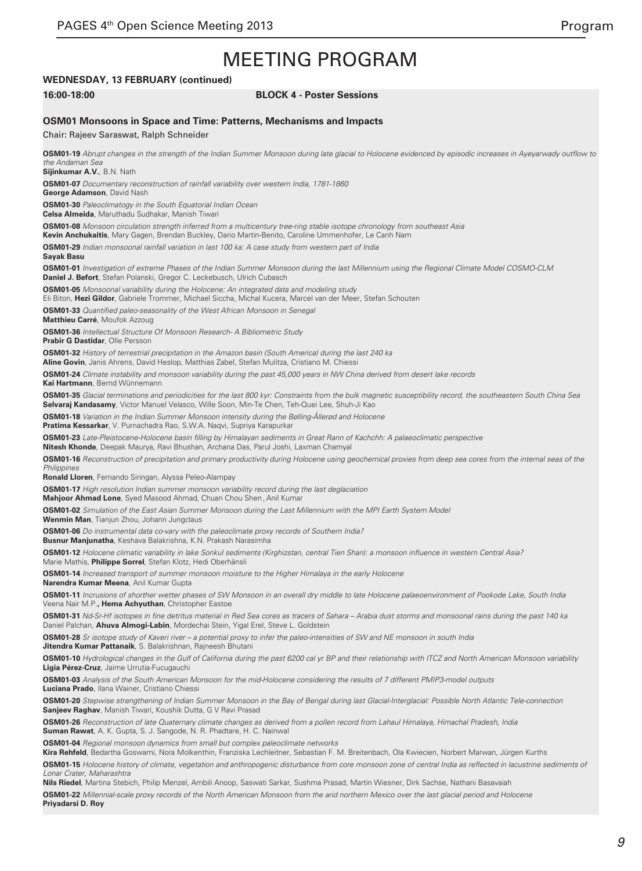### **WEDNESDAY, 13 FEBRUARY (continued)**

#### **16:00-18:00 BLOCK 4 - Poster Sessions**

#### **OSM01 Monsoons in Space and Time: Patterns, Mechanisms and Impacts**

Chair: Rajeev Saraswat, Ralph Schneider **OSM01-19** Abrupt changes in the strength of the Indian Summer Monsoon during late glacial to Holocene evidenced by episodic increases in Ayeyarwady outflow to *the Andaman Sea* **Sijinkumar A.V.**, B.N. Nath **OSM01-07** Documentary reconstruction of rainfall variability over western India, 1781-1860 **George Adamson**, David Nash **OSM01-30** Paleoclimatogy in the South Equatorial Indian Ocean **Celsa Almeida**, Maruthadu Sudhakar, Manish Tiwari **OSM01-08** Monsoon circulation strength inferred from a multicentury tree-ring stable isotope chronology from southeast Asia **Kevin Anchukaitis**, Mary Gagen, Brendan Buckley, Dario Martin-Benito, Caroline Ummenhofer, Le Canh Nam **OSM01-29** Indian monsoonal rainfall variation in last 100 ka: A case study from western part of India **Sayak Basu OSM01-01** Investigation of extreme Phases of the Indian Summer Monsoon during the last Millennium using the Regional Climate Model COSMO-CLM **Daniel J. Befort**, Stefan Polanski, Gregor C. Leckebusch, Ulrich Cubasch **OSM01-05** Monsoonal variability during the Holocene: An integrated data and modeling study Eli Biton, **Hezi Gildor**, Gabriele Trommer, Michael Siccha, Michal Kucera, Marcel van der Meer, Stefan Schouten **OSM01-33** Quantified paleo-seasonality of the West African Monsoon in Senegal **Matthieu Carré**, Moufok Azzoug **OSM01-36** Intellectual Structure Of Monsoon Research- A Bibliometric Study **Prabir G Dastidar**, Olle Persson **OSM01-32** History of terrestrial precipitation in the Amazon basin (South America) during the last 240 ka **Aline Govin**, Janis Ahrens, David Heslop, Matthias Zabel, Stefan Mulitza, Cristiano M. Chiessi **OSM01-24** Climate instability and monsoon variability during the past 45,000 years in NW China derived from desert lake records **Kai Hartmann**, Bernd Wünnemann **OSM01-35** Glacial terminations and periodicities for the last 800 kyr: Constraints from the bulk magnetic susceptibility record, the southeastern South China Sea **Selvaraj Kandasamy**, Victor Manuel Velasco, Wille Soon, Min-Te Chen, Teh-Quei Lee, Shuh-Ji Kao **OSM01-18** Variation in the Indian Summer Monsoon intensity during the Bølling-Ållerød and Holocene **Pratima Kessarkar**, V. Purnachadra Rao, S.W.A. Naqvi, Supriya Karapurkar **OSM01-23** Late-Pleistocene-Holocene basin filling by Himalayan sediments in Great Rann of Kachchh: A palaeoclimatic perspective **Nitesh Khonde**, Deepak Maurya, Ravi Bhushan, Archana Das, Parul Joshi, Laxman Chamyal **OSM01-16** Reconstruction of precipitation and primary productivity during Holocene using geochemical proxies from deep sea cores from the internal seas of the **Philippines Ronald Lloren**, Fernando Siringan, Alyssa Peleo-Alampay **OSM01-17** High resolution Indian summer monsoon variability record during the last deglaciation Mahjoor Ahmad Lone, Syed Masood Ahmad, Chuan Chou Shen, Anil Kumar **OSM01-02** Simulation of the East Asian Summer Monsoon during the Last Millennium with the MPI Earth System Model **Wenmin Man**, Tianjun Zhou, Johann Jungclaus **OSM01-06** Do instrumental data co-vary with the paleoclimate proxy records of Southern India? **Busnur Manjunatha**, Keshava Balakrishna, K.N. Prakash Narasimha **OSM01-12** Holocene climatic variability in lake Sonkul sediments (Kirghizstan, central Tien Shan): a monsoon influence in western Central Asia? Marie Mathis, **Philippe Sorrel**, Stefan Klotz, Hedi Oberhänsli **OSM01-14** Increased transport of summer monsoon moisture to the Higher Himalaya in the early Holocene **Narendra Kumar Meena**, Anil Kumar Gupta **OSM01-11** Incrusions of shorther wetter phases of SW Monsoon in an overall dry middle to late Holocene palaeoenvironment of Pookode Lake, South India Veena Nair M.P.**, Hema Achyuthan**, Christopher Eastoe **OSM01-31** Nd-Sr-Hf isotopes in fine detritus material in Red Sea cores as tracers of Sahara – Arabia dust storms and monsoonal rains during the past 140 ka Daniel Palchan, **Ahuva Almogi-Labin**, Mordechai Stein, Yigal Erel, Steve L. Goldstein **OSM01-28** Sr isotope study of Kaveri river – a potential proxy to infer the paleo-intensities of SW and NE monsoon in south India **Jitendra Kumar Pattanaik**, S. Balakrishnan, Rajneesh Bhutani **OSM01-10** Hydrological changes in the Gulf of California during the past 6200 cal yr BP and their relationship with ITCZ and North American Monsoon variability **Ligia Pérez-Cruz**, Jaime Urrutia-Fucugauchi **OSM01-03** Analysis of the South American Monsoon for the mid-Holocene considering the results of 7 different PMIP3-model outputs **Luciana Prado**, Ilana Wainer, Cristiano Chiessi **OSM01-20** Stepwise strengthening of Indian Summer Monsoon in the Bay of Bengal during last Glacial-Interglacial: Possible North Atlantic Tele-connection **Sanjeev Raghav**, Manish Tiwari, Koushik Dutta, G V Ravi Prasad **OSM01-26** Reconstruction of late Quaternary climate changes as derived from a pollen record from Lahaul Himalaya, Himachal Pradesh, India **Suman Rawat**, A. K. Gupta, S. J. Sangode, N. R. Phadtare, H. C. Nainwal **OSM01-04** Regional monsoon dynamics from small but complex paleoclimate networks **Kira Rehfeld**, Bedartha Goswami, Nora Molkenthin, Franziska Lechleitner, Sebastian F. M. Breitenbach, Ola Kwiecien, Norbert Marwan, Jürgen Kurths **OSM01-15** Holocene history of climate, vegetation and anthropogenic disturbance from core monsoon zone of central India as reflected in lacustrine sediments of *Lonar Crater, Maharashtra* **Nils Riedel**, Martina Stebich, Philip Menzel, Ambili Anoop, Saswati Sarkar, Sushma Prasad, Martin Wiesner, Dirk Sachse, Nathani Basavaiah **OSM01-22** Millennial-scale proxy records of the North American Monsoon from the arid northern Mexico over the last glacial period and Holocene **Priyadarsi D. Roy**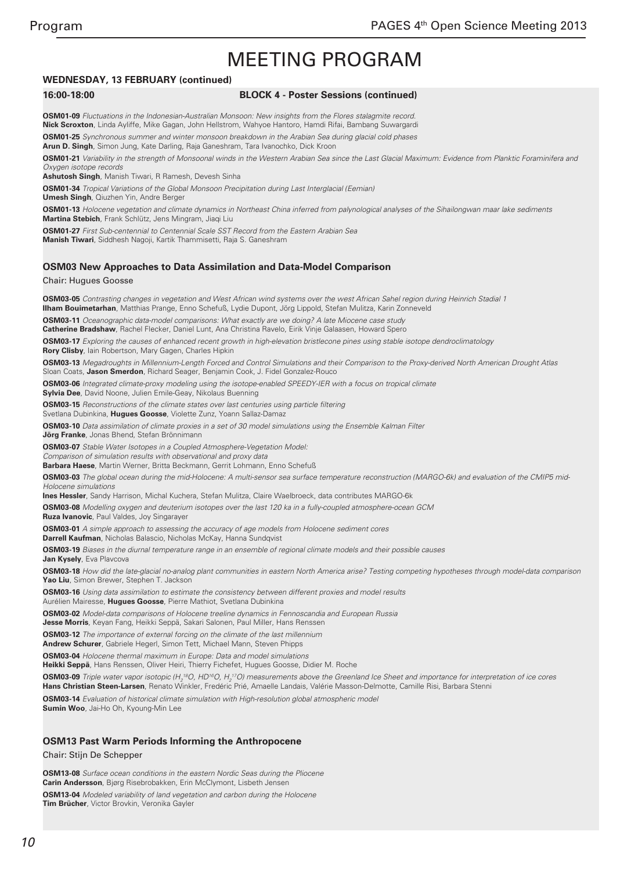### **WEDNESDAY, 13 FEBRUARY (continued)**

#### **16:00-18:00 BLOCK 4 - Poster Sessions (continued)**

**OSM01-09** Fluctuations in the Indonesian-Australian Monsoon: New insights from the Flores stalagmite record. **Nick Scroxton**, Linda Ayliffe, Mike Gagan, John Hellstrom, Wahyoe Hantoro, Hamdi Rifai, Bambang Suwargardi

**OSM01-25** Synchronous summer and winter monsoon breakdown in the Arabian Sea during glacial cold phases **Arun D. Singh**, Simon Jung, Kate Darling, Raja Ganeshram, Tara Ivanochko, Dick Kroon

**OSM01-21** Variability in the strength of Monsoonal winds in the Western Arabian Sea since the Last Glacial Maximum: Evidence from Planktic Foraminifera and Oxygen isotope records

**Ashutosh Singh**, Manish Tiwari, R Ramesh, Devesh Sinha

**OSM01-34** Tropical Variations of the Global Monsoon Precipitation during Last Interglacial (Eemian)

**Umesh Singh**, Qiuzhen Yin, Andre Berger

**OSM01-13** Holocene vegetation and climate dynamics in Northeast China inferred from palynological analyses of the Sihailongwan maar lake sediments **Martina Stebich**, Frank Schlütz, Jens Mingram, Jiaqi Liu

**OSM01-27** First Sub-centennial to Centennial Scale SST Record from the Eastern Arabian Sea **Manish Tiwari**, Siddhesh Nagoji, Kartik Thammisetti, Raja S. Ganeshram

#### **OSM03 New Approaches to Data Assimilation and Data-Model Comparison**

Chair: Hugues Goosse

**OSM03-05** Contrasting changes in vegetation and West African wind systems over the west African Sahel region during Heinrich Stadial 1 **Ilham Bouimetarhan**, Matthias Prange, Enno Schefuß, Lydie Dupont, Jörg Lippold, Stefan Mulitza, Karin Zonneveld

**OSM03-11** Oceanographic data-model comparisons: What exactly are we doing? A late Miocene case study

**Catherine Bradshaw**, Rachel Flecker, Daniel Lunt, Ana Christina Ravelo, Eirik Vinje Galaasen, Howard Spero

**OSM03-17** Exploring the causes of enhanced recent growth in high-elevation bristlecone pines using stable isotope dendroclimatology **Rory Clisby**, Iain Robertson, Mary Gagen, Charles Hipkin

**OSM03-13** Megadroughts in Millennium-Length Forced and Control Simulations and their Comparison to the Proxy-derived North American Drought Atlas Sloan Coats, **Jason Smerdon**, Richard Seager, Benjamin Cook, J. Fidel Gonzalez-Rouco

**OSM03-06** Integrated climate-proxy modeling using the isotope-enabled SPEEDY-IER with a focus on tropical climate

**Sylvia Dee**, David Noone, Julien Emile-Geay, Nikolaus Buenning

**OSM03-15** Reconstructions of the climate states over last centuries using particle filtering Svetlana Dubinkina, **Hugues Goosse**, Violette Zunz, Yoann Sallaz-Damaz

**OSM03-10** Data assimilation of climate proxies in a set of 30 model simulations using the Ensemble Kalman Filter

**Jörg Franke**, Jonas Bhend, Stefan Brönnimann

**OSM03-07** Stable Water Isotopes in a Coupled Atmosphere-Vegetation Model:

Comparison of simulation results with observational and proxy data

**Barbara Haese**, Martin Werner, Britta Beckmann, Gerrit Lohmann, Enno Schefuß

**OSM03-03** The global ocean during the mid-Holocene: A multi-sensor sea surface temperature reconstruction (MARGO-6k) and evaluation of the CMIP5 mid-Holocene simulations

**Ines Hessler**, Sandy Harrison, Michal Kuchera, Stefan Mulitza, Claire Waelbroeck, data contributes MARGO-6k

**OSM03-08** Modelling oxygen and deuterium isotopes over the last 120 ka in a fully-coupled atmosphere-ocean GCM

**Ruza Ivanovic**, Paul Valdes, Joy Singarayer

**OSM03-01** A simple approach to assessing the accuracy of age models from Holocene sediment cores **Darrell Kaufman**, Nicholas Balascio, Nicholas McKay, Hanna Sundqvist

**OSM03-19** Biases in the diurnal temperature range in an ensemble of regional climate models and their possible causes **Jan Kysely**, Eva Plavcova

**OSM03-18** How did the late-glacial no-analog plant communities in eastern North America arise? Testing competing hypotheses through model-data comparison **Yao Liu**, Simon Brewer, Stephen T. Jackson

**OSM03-16** Using data assimilation to estimate the consistency between different proxies and model results Aurélien Mairesse, **Hugues Goosse**, Pierre Mathiot, Svetlana Dubinkina

**OSM03-02** Model-data comparisons of Holocene treeline dynamics in Fennoscandia and European Russia

**Jesse Morris**, Keyan Fang, Heikki Seppä, Sakari Salonen, Paul Miller, Hans Renssen

**OSM03-12** The importance of external forcing on the climate of the last millennium

**Andrew Schurer**, Gabriele Hegerl, Simon Tett, Michael Mann, Steven Phipps

**OSM03-04** Holocene thermal maximum in Europe: Data and model simulations

**Heikki Seppä**, Hans Renssen, Oliver Heiri, Thierry Fichefet, Hugues Goosse, Didier M. Roche

**OSM03-09** Triple water vapor isotopic (H<sub>2</sub>18O, HD<sup>16</sup>O, H<sub>2</sub>17O) measurements above the Greenland Ice Sheet and importance for interpretation of ice cores **Hans Christian Steen-Larsen**, Renato Winkler, Fredéric Prié, Amaelle Landais, Valérie Masson-Delmotte, Camille Risi, Barbara Stenni

**OSM03-14** Evaluation of historical climate simulation with High-resolution global atmospheric model **Sumin Woo**, Jai-Ho Oh, Kyoung-Min Lee

### **OSM13 Past Warm Periods Informing the Anthropocene**

Chair: Stijn De Schepper

**OSM13-08** Surface ocean conditions in the eastern Nordic Seas during the Pliocene **Carin Andersson**, Bjørg Risebrobakken, Erin McClymont, Lisbeth Jensen **OSM13-04** Modeled variability of land vegetation and carbon during the Holocene **Tim Brücher**, Victor Brovkin, Veronika Gayler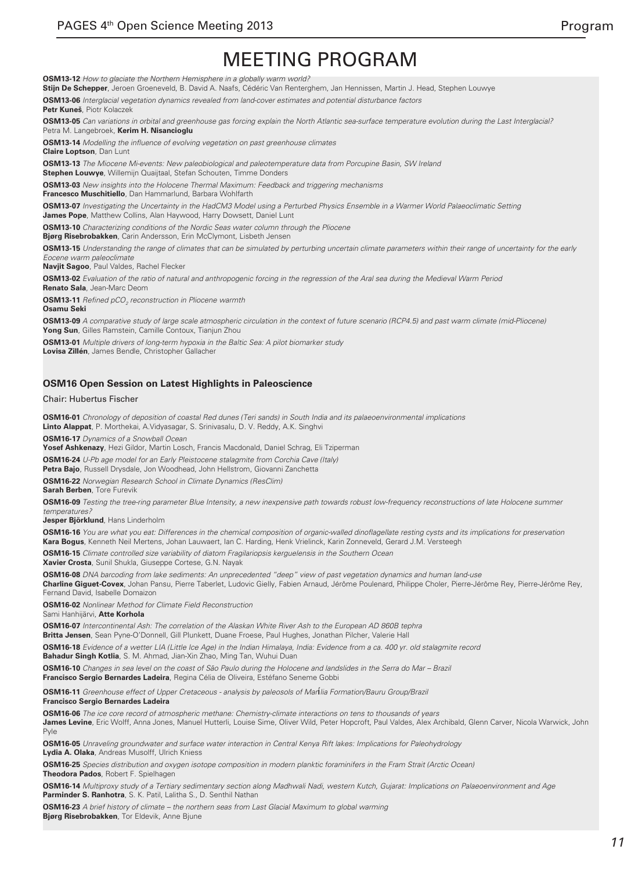**OSM13-12** How to glaciate the Northern Hemisphere in a globally warm world?

**Stijn De Schepper**, Jeroen Groeneveld, B. David A. Naafs, Cédéric Van Renterghem, Jan Hennissen, Martin J. Head, Stephen Louwye

**OSM13-06** Interglacial vegetation dynamics revealed from land-cover estimates and potential disturbance factors

Petr Kuneš, Piotr Kolaczel

**OSM13-05** Can variations in orbital and greenhouse gas forcing explain the North Atlantic sea-surface temperature evolution during the Last Interglacial? Petra M. Langebroek, **Kerim H. Nisancioglu**

**OSM13-14** Modelling the influence of evolving vegetation on past greenhouse climates **Claire Loptson**, Dan Lunt

**OSM13-13** The Miocene Mi-events: New paleobiological and paleotemperature data from Porcupine Basin, SW Ireland **Stephen Louwye**, Willemijn Quaijtaal, Stefan Schouten, Timme Donders

**OSM13-03** New insights into the Holocene Thermal Maximum: Feedback and triggering mechanisms

**Francesco Muschitiello**, Dan Hammarlund, Barbara Wohlfarth

**OSM13-07** Investigating the Uncertainty in the HadCM3 Model using a Perturbed Physics Ensemble in a Warmer World Palaeoclimatic Setting **James Pope**, Matthew Collins, Alan Haywood, Harry Dowsett, Daniel Lunt

**OSM13-10** Characterizing conditions of the Nordic Seas water column through the Pliocene

**Bjørg Risebrobakken**, Carin Andersson, Erin McClymont, Lisbeth Jensen

**OSM13-15** Understanding the range of climates that can be simulated by perturbing uncertain climate parameters within their range of uncertainty for the early Eocene warm paleoclimate

**Navjit Sagoo**, Paul Valdes, Rachel Flecker

**OSM13-02** Evaluation of the ratio of natural and anthropogenic forcing in the regression of the Aral sea during the Medieval Warm Period **Renato Sala**, Jean-Marc Deom

**OSM13-11** Refined pCO<sub>2</sub> reconstruction in Pliocene warmth **Osamu Seki**

**OSM13-09** A comparative study of large scale atmospheric circulation in the context of future scenario (RCP4.5) and past warm climate (mid-Pliocene) **Yong Sun**, Gilles Ramstein, Camille Contoux, Tianjun Zhou

**OSM13-01** Multiple drivers of long-term hypoxia in the Baltic Sea: A pilot biomarker study **Lovisa Zillén**, James Bendle, Christopher Gallacher

#### **OSM16 Open Session on Latest Highlights in Paleoscience**

#### Chair: Hubertus Fischer

**OSM16-01** Chronology of deposition of coastal Red dunes (Teri sands) in South India and its palaeoenvironmental implications **Linto Alappat**, P. Morthekai, A.Vidyasagar, S. Srinivasalu, D. V. Reddy, A.K. Singhvi

**OSM16-17** Dynamics of a Snowball Ocean

**Yosef Ashkenazy**, Hezi Gildor, Martin Losch, Francis Macdonald, Daniel Schrag, Eli Tziperman

**OSM16-24** U-Pb age model for an Early Pleistocene stalagmite from Corchia Cave (Italy)

**Petra Bajo**, Russell Drysdale, Jon Woodhead, John Hellstrom, Giovanni Zanchetta

**OSM16-22** Norwegian Research School in Climate Dynamics (ResClim)

**Sarah Berben**, Tore Furevik

**OSM16-09** Testing the tree-ring parameter Blue Intensity, a new inexpensive path towards robust low-frequency reconstructions of late Holocene summer temperatures<sup>?</sup>

**Jesper Björklund**, Hans Linderholm

**OSM16-16** You are what you eat: Differences in the chemical composition of organic-walled dinoflagellate resting cysts and its implications for preservation **Kara Bogus**, Kenneth Neil Mertens, Johan Lauwaert, Ian C. Harding, Henk Vrielinck, Karin Zonneveld, Gerard J.M. Versteegh

**OSM16-15** Climate controlled size variability of diatom Fragilariopsis kerguelensis in the Southern Ocean

**Xavier Crosta**, Sunil Shukla, Giuseppe Cortese, G.N. Nayak

**OSM16-08** DNA barcoding from lake sediments: An unprecedented "deep" view of past vegetation dynamics and human land-use

**Charline Giguet-Covex**, Johan Pansu, Pierre Taberlet, Ludovic Gielly, Fabien Arnaud, Jérôme Poulenard, Philippe Choler, Pierre-Jérôme Rey, Pierre-Jérôme Rey, Fernand David, Isabelle Domaizon

**OSM16-02** Nonlinear Method for Climate Field Reconstruction

Sami Hanhijärvi, **Atte Korhola**

**OSM16-07** Intercontinental Ash: The correlation of the Alaskan White River Ash to the European AD 860B tephra **Britta Jensen**, Sean Pyne-O'Donnell, Gill Plunkett, Duane Froese, Paul Hughes, Jonathan Pilcher, Valerie Hall

**OSM16-18** Evidence of a wetter LIA (Little Ice Age) in the Indian Himalaya, India: Evidence from a ca. 400 yr. old stalagmite record

**Bahadur Singh Kotlia**, S. M. Ahmad, Jian-Xin Zhao, Ming Tan, Wuhui Duan

**OSM16-10** Changes in sea level on the coast of São Paulo during the Holocene and landslides in the Serra do Mar – Brazil

**Francisco Sergio Bernardes Ladeira**, Regina Célia de Oliveira, Estéfano Seneme Gobbi

**OSM16-11** Greenhouse effect of Upper Cretaceous - analysis by paleosols of Marília Formation/Bauru Group/Brazil

**Francisco Sergio Bernardes Ladeira**

**OSM16-06** The ice core record of atmospheric methane: Chemistry-climate interactions on tens to thousands of years James Levine, Eric Wolff, Anna Jones, Manuel Hutterli, Louise Sime, Oliver Wild, Peter Hopcroft, Paul Valdes, Alex Archibald, Glenn Carver, Nicola Warwick, John Pyle

**OSM16-05** Unraveling groundwater and surface water interaction in Central Kenya Rift lakes: Implications for Paleohydrology **Lydia A. Olaka**, Andreas Musolff, Ulrich Kniess

**OSM16-25** Species distribution and oxygen isotope composition in modern planktic foraminifers in the Fram Strait (Arctic Ocean) **Theodora Pados**, Robert F. Spielhagen

**OSM16-14** Multiproxy study of a Tertiary sedimentary section along Madhwali Nadi, western Kutch, Gujarat: Implications on Palaeoenvironment and Age **Parminder S. Ranhotra**, S. K. Patil, Lalitha S., D. Senthil Nathan

**OSM16-23** A brief history of climate – the northern seas from Last Glacial Maximum to global warming **Bjørg Risebrobakken**, Tor Eldevik, Anne Bjune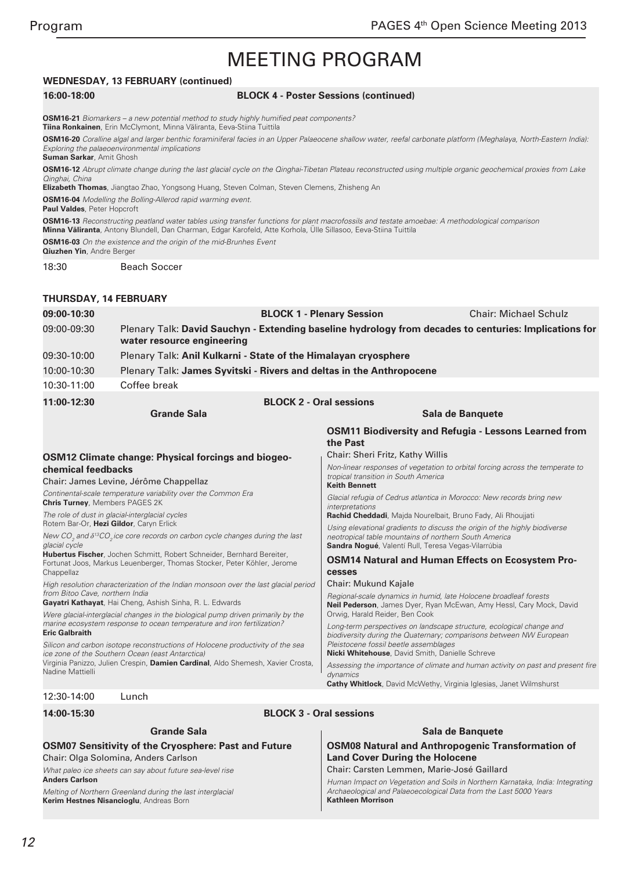### **WEDNESDAY, 13 FEBRUARY (continued)**

#### **16:00-18:00 BLOCK 4 - Poster Sessions (continued)**

**OSM16-21** Biomarkers – a new potential method to study highly humified peat components? **Tiina Ronkainen**, Erin McClymont, Minna Väliranta, Eeva-Stiina Tuittila **OSM16-20** Coralline algal and larger benthic foraminiferal facies in an Upper Palaeocene shallow water, reefal carbonate platform (Meghalaya, North-Eastern India):

Exploring the palaeoenvironmental implications **Suman Sarkar**, Amit Ghosh

**OSM16-12** Abrupt climate change during the last glacial cycle on the Qinghai-Tibetan Plateau reconstructed using multiple organic geochemical proxies from Lake Qinghai, China

**Elizabeth Thomas**, Jiangtao Zhao, Yongsong Huang, Steven Colman, Steven Clemens, Zhisheng An

**OSM16-04** Modelling the Bolling-Allerod rapid warming event.

**Paul Valdes**, Peter Hopcroft

**OSM16-13** Reconstructing peatland water tables using transfer functions for plant macrofossils and testate amoebae: A methodological comparison **Minna Väliranta**, Antony Blundell, Dan Charman, Edgar Karofeld, Atte Korhola, Ülle Sillasoo, Eeva-Stiina Tuittila

**OSM16-03** On the existence and the origin of the mid-Brunhes Event

**Qiuzhen Yin**, Andre Berger

18:30 Beach Soccer

#### **THURSDAY, 14 FEBRUARY**

| 09:00-10:30 |                                                                                                                                      | <b>BLOCK 1 - Plenary Session</b> | <b>Chair: Michael Schulz</b>                                 |
|-------------|--------------------------------------------------------------------------------------------------------------------------------------|----------------------------------|--------------------------------------------------------------|
| 09:00-09:30 | Plenary Talk: David Sauchyn - Extending baseline hydrology from decades to centuries: Implications for<br>water resource engineering |                                  |                                                              |
| 09:30-10:00 | Plenary Talk: Anil Kulkarni - State of the Himalayan cryosphere                                                                      |                                  |                                                              |
| 10:00-10:30 | Plenary Talk: James Syvitski - Rivers and deltas in the Anthropocene                                                                 |                                  |                                                              |
| 10:30-11:00 | Coffee break                                                                                                                         |                                  |                                                              |
| 11:00-12:30 |                                                                                                                                      | <b>BLOCK 2 - Oral sessions</b>   |                                                              |
|             | <b>Grande Sala</b>                                                                                                                   |                                  | Sala de Banguete                                             |
|             |                                                                                                                                      |                                  | <b>OSM11 Biodiversity and Refugia - Lessons Learned from</b> |

**the Past**

**Keith Bennett**

*interpretations*

**cesses**

*dynamics*

Chair: Mukund Kajale

Orwig, Harald Reider, Ben Cook

Pleistocene fossil beetle assemblages

**Nicki Whitehouse**, David Smith, Danielle Schreve

Chair: Sheri Fritz, Kathy Willis

tropical transition in South America

#### **OSM12 Climate change: Physical forcings and biogeochemical feedbacks**

Chair: James Levine, Jérôme Chappellaz

Continental-scale temperature variability over the Common Era **Chris Turney**, Members PAGES 2K

The role of dust in glacial-interglacial cycles Rotem Bar-Or, **Hezi Gildor**, Caryn Erlick

New CO*<sup>2</sup> and δ*13CO*2* ice core records on carbon cycle changes during the last glacial cycle

**Hubertus Fischer**, Jochen Schmitt, Robert Schneider, Bernhard Bereiter, Fortunat Joos, Markus Leuenberger, Thomas Stocker, Peter Köhler, Jerome **Chappellaz** 

High resolution characterization of the Indian monsoon over the last glacial period from Bitoo Cave, northern India

**Gayatri Kathayat**, Hai Cheng, Ashish Sinha, R. L. Edwards

Were glacial-interglacial changes in the biological pump driven primarily by the marine ecosystem response to ocean temperature and iron fertilization? **Eric Galbraith**

Silicon and carbon isotope reconstructions of Holocene productivity of the sea ice zone of the Southern Ocean (east Antarctica)

Virginia Panizzo, Julien Crespin, **Damien Cardinal**, Aldo Shemesh, Xavier Crosta, Nadine Mattielli

**Grande Sala**

#### 12:30-14:00 Lunch

|  | 14:00-15:30 |
|--|-------------|
|--|-------------|

#### **BLOCK 3 - Oral sessions**

### **OSM07 Sensitivity of the Cryosphere: Past and Future** Chair: Olga Solomina, Anders Carlson

What paleo ice sheets can say about future sea-level rise **Anders Carlson**

Melting of Northern Greenland during the last interglacial **Kerim Hestnes Nisancioglu**, Andreas Born

# **OSM08 Natural and Anthropogenic Transformation of Land Cover During the Holocene**

**Sala de Banquete**

Non-linear responses of vegetation to orbital forcing across the temperate to

Glacial refugia of Cedrus atlantica in Morocco: New records bring new

**OSM14 Natural and Human Effects on Ecosystem Pro-**

Regional-scale dynamics in humid, late Holocene broadleaf forests **Neil Pederson**, James Dyer, Ryan McEwan, Amy Hessl, Cary Mock, David

Long-term perspectives on landscape structure, ecological change and biodiversity during the Quaternary; comparisons between NW European

**Cathy Whitlock**, David McWethy, Virginia Iglesias, Janet Wilmshurst

Assessing the importance of climate and human activity on past and present fire

**Rachid Cheddadi**, Majda Nourelbait, Bruno Fady, Ali Rhoujjati Using elevational gradients to discuss the origin of the highly biodiverse

neotropical table mountains of northern South America **Sandra Nogué**, Valentí Rull, Teresa Vegas-Vilarrúbia

Chair: Carsten Lemmen, Marie-José Gaillard

Human Impact on Vegetation and Soils in Northern Karnataka, India: Integrating Archaeological and Palaeoecological Data from the Last 5000 Years **Kathleen Morrison**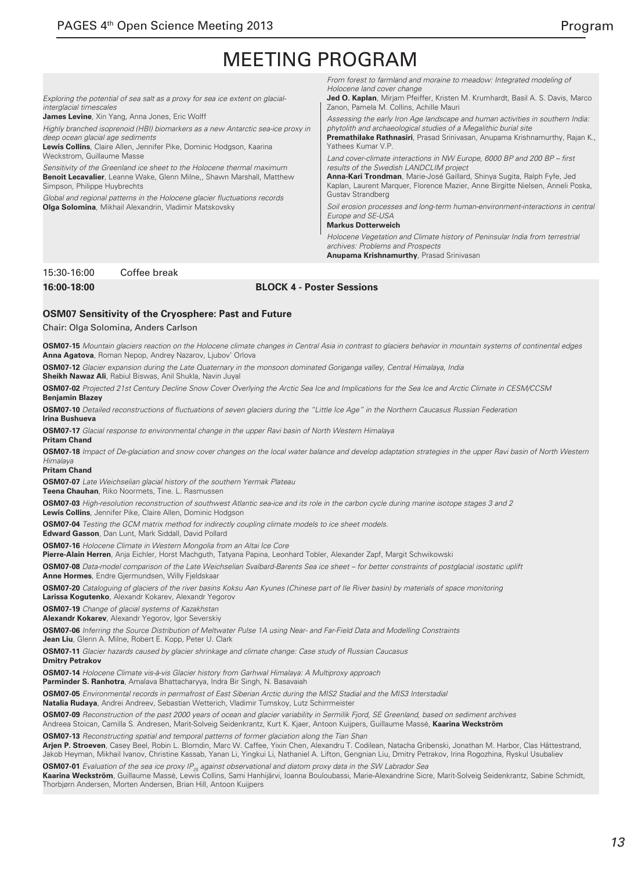Exploring the potential of sea salt as a proxy for sea ice extent on glacialinterglacial timescales

**James Levine**, Xin Yang, Anna Jones, Eric Wolff

Highly branched isoprenoid (HBI) biomarkers as a new Antarctic sea-ice proxy in deep ocean glacial age sediments

**Lewis Collins**, Claire Allen, Jennifer Pike, Dominic Hodgson, Kaarina Weckstrom, Guillaume Masse

Sensitivity of the Greenland ice sheet to the Holocene thermal maximum **Benoit Lecavalier**, Leanne Wake, Glenn Milne,, Shawn Marshall, Matthew Simpson, Philippe Huybrechts

Global and regional patterns in the Holocene glacier fluctuations records **Olga Solomina**, Mikhail Alexandrin, Vladimir Matskovsky

From forest to farmland and moraine to meadow: Integrated modeling of Holocene land cover change

**Jed O. Kaplan**, Mirjam Pfeiffer, Kristen M. Krumhardt, Basil A. S. Davis, Marco Zanon, Pamela M. Collins, Achille Mauri

Assessing the early Iron Age landscape and human activities in southern India: phytolith and archaeological studies of a Megalithic burial site **Premathilake Rathnasiri**, Prasad Srinivasan, Anupama Krishnamurthy, Rajan K.,

Land cover-climate interactions in NW Europe, 6000 BP and 200 BP – first results of the Swedish LANDCLIM project

**Anna-Kari Trondman**, Marie-José Gaillard, Shinya Sugita, Ralph Fyfe, Jed Kaplan, Laurent Marquer, Florence Mazier, Anne Birgitte Nielsen, Anneli Poska, Gustav Strandberg

Soil erosion processes and long-term human-environment-interactions in central Europe and SE-USA

#### **Markus Dotterweich**

Yathees Kumar V.P.

Holocene Vegetation and Climate history of Peninsular India from terrestrial archives: Problems and Prospects

**Anupama Krishnamurthy**, Prasad Srinivasan

#### 15:30-16:00 Coffee break

#### **16:00-18:00 BLOCK 4 - Poster Sessions**

#### **OSM07 Sensitivity of the Cryosphere: Past and Future**

Chair: Olga Solomina, Anders Carlson

**OSM07-15** Mountain glaciers reaction on the Holocene climate changes in Central Asia in contrast to glaciers behavior in mountain systems of continental edges **Anna Agatova**, Roman Nepop, Andrey Nazarov, Ljubov' Orlova

**OSM07-12** Glacier expansion during the Late Quaternary in the monsoon dominated Goriganga valley, Central Himalaya, India

**Sheikh Nawaz Ali**, Rabiul Biswas, Anil Shukla, Navin Juyal

**OSM07-02** Projected 21st Century Decline Snow Cover Overlying the Arctic Sea Ice and Implications for the Sea Ice and Arctic Climate in CESM/CCSM **Benjamin Blazey**

**OSM07-10** Detailed reconstructions of fluctuations of seven glaciers during the "Little Ice Age" in the Northern Caucasus Russian Federation **Irina Bushueva**

**OSM07-17** Glacial response to environmental change in the upper Ravi basin of North Western Himalaya

**Pritam Chand**

**OSM07-18** Impact of De-glaciation and snow cover changes on the local water balance and develop adaptation strategies in the upper Ravi basin of North Western *Himalaya*

**Pritam Chand**

**OSM07-07** Late Weichselian glacial history of the southern Yermak Plateau

**Teena Chauhan**, Riko Noormets, Tine. L. Rasmussen

**OSM07-03** High-resolution reconstruction of southwest Atlantic sea-ice and its role in the carbon cycle during marine isotope stages 3 and 2 **Lewis Collins**, Jennifer Pike, Claire Allen, Dominic Hodgson

**OSM07-04** Testing the GCM matrix method for indirectly coupling climate models to ice sheet models.

**Edward Gasson**, Dan Lunt, Mark Siddall, David Pollard

**OSM07-16** Holocene Climate in Western Mongolia from an Altai Ice Core

**Pierre-Alain Herren**, Anja Eichler, Horst Machguth, Tatyana Papina, Leonhard Tobler, Alexander Zapf, Margit Schwikowski

**OSM07-08** Data-model comparison of the Late Weichselian Svalbard-Barents Sea ice sheet – for better constraints of postglacial isostatic uplift **Anne Hormes**, Endre Gjermundsen, Willy Fjeldskaar

**OSM07-20** Cataloguing of glaciers of the river basins Koksu Aan Kyunes (Chinese part of Ile River basin) by materials of space monitoring **Larissa Kogutenko**, Alexandr Kokarev, Alexandr Yegorov

**OSM07-19** Change of glacial systems of Kazakhstan

**Alexandr Kokarev**, Alexandr Yegorov, Igor Severskiy

**OSM07-06** Inferring the Source Distribution of Meltwater Pulse 1A using Near- and Far-Field Data and Modelling Constraints

**Jean Liu**, Glenn A. Milne, Robert E. Kopp, Peter U. Clark

**OSM07-11** Glacier hazards caused by glacier shrinkage and climate change: Case study of Russian Caucasus

**Dmitry Petrakov**

**OSM07-14** Holocene Climate vis-à-vis Glacier history from Garhwal Himalaya: A Multiproxy approach

**Parminder S. Ranhotra**, Amalava Bhattacharyya, Indra Bir Singh, N. Basavaiah

**OSM07-05** Environmental records in permafrost of East Siberian Arctic during the MIS2 Stadial and the MIS3 Interstadial

**Natalia Rudaya**, Andrei Andreev, Sebastian Wetterich, Vladimir Tumskoy, Lutz Schirrmeister

**OSM07-09** Reconstruction of the past 2000 years of ocean and glacier variability in Sermilik Fjord, SE Greenland, based on sediment archives Andreea Stoican, Camilla S. Andresen, Marit-Solveig Seidenkrantz, Kurt K. Kjaer, Antoon Kuijpers, Guillaume Massé, **Kaarina Weckström**

**OSM07-13** Reconstructing spatial and temporal patterns of former glaciation along the Tian Shan

**Arjen P. Stroeven**, Casey Beel, Robin L. Blomdin, Marc W. Caffee, Yixin Chen, Alexandru T. Codilean, Natacha Gribenski, Jonathan M. Harbor, Clas Hättestrand, Jakob Heyman, Mikhail Ivanov, Christine Kassab, Yanan Li, Yingkui Li, Nathaniel A. Lifton, Gengnian Liu, Dmitry Petrakov, Irina Rogozhina, Ryskul Usubaliev

**OSM07-01** Evaluation of the sea ice proxy IP<sub>25</sub> against observational and diatom proxy data in the SW Labrador Sea **Kaarina Weckström**, Guillaume Massé, Lewis Collins, Sami Hanhijärvi, Ioanna Bouloubassi, Marie-Alexandrine Sicre, Marit-Solveig Seidenkrantz, Sabine Schmidt, Thorbjørn Andersen, Morten Andersen, Brian Hill, Antoon Kuijpers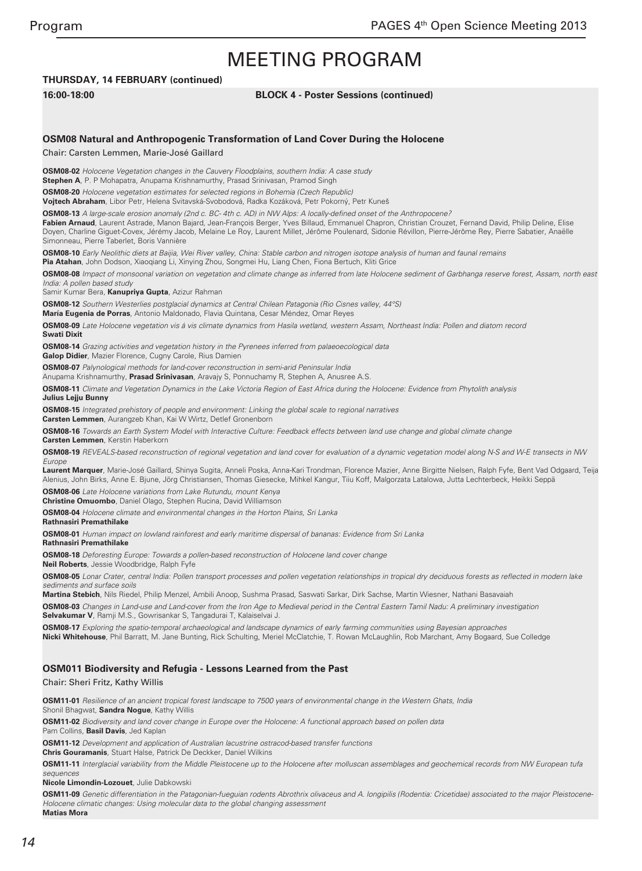## **THURSDAY, 14 FEBRUARY (continued)**

#### **16:00-18:00 BLOCK 4 - Poster Sessions (continued)**

#### **OSM08 Natural and Anthropogenic Transformation of Land Cover During the Holocene**

Chair: Carsten Lemmen, Marie-José Gaillard

**OSM08-02** Holocene Vegetation changes in the Cauvery Floodplains, southern India: A case study **Stephen A**, P. P Mohapatra, Anupama Krishnamurthy, Prasad Srinivasan, Pramod Singh

**OSM08-20** Holocene vegetation estimates for selected regions in Bohemia (Czech Republic)

**Vojtech Abraham**, Libor Petr, Helena Svitavská-Svobodová, Radka Kozáková, Petr Pokorný, Petr Kuneš

**OSM08-13** A large-scale erosion anomaly (2nd c. BC- 4th c. AD) in NW Alps: A locally-defined onset of the Anthropocene?

**Fabien Arnaud**, Laurent Astrade, Manon Bajard, Jean-François Berger, Yves Billaud, Emmanuel Chapron, Christian Crouzet, Fernand David, Philip Deline, Elise Doyen, Charline Giguet-Covex, Jérémy Jacob, Melaine Le Roy, Laurent Millet, Jérôme Poulenard, Sidonie Révillon, Pierre-Jérôme Rey, Pierre Sabatier, Anaëlle Simonneau, Pierre Taberlet, Boris Vannière

**OSM08-10** Early Neolithic diets at Baijia, Wei River valley, China: Stable carbon and nitrogen isotope analysis of human and faunal remains

**Pia Atahan**, John Dodson, Xiaoqiang Li, Xinying Zhou, Songmei Hu, Liang Chen, Fiona Bertuch, Kliti Grice

**OSM08-08** Impact of monsoonal variation on vegetation and climate change as inferred from late Holocene sediment of Garbhanga reserve forest, Assam, north east India: A pollen based study

Samir Kumar Bera, **Kanupriya Gupta**, Azizur Rahman

**OSM08-12** Southern Westerlies postglacial dynamics at Central Chilean Patagonia (Rio Cisnes valley, 44°S)

**María Eugenia de Porras**, Antonio Maldonado, Flavia Quintana, Cesar Méndez, Omar Reyes

**OSM08-09** Late Holocene vegetation vis á vis climate dynamics from Hasila wetland, western Assam, Northeast India: Pollen and diatom record **Swati Dixit**

**OSM08-14** Grazing activities and vegetation history in the Pyrenees inferred from palaeoecological data **Galop Didier**, Mazier Florence, Cugny Carole, Rius Damien

**OSM08-07** Palynological methods for land-cover reconstruction in semi-arid Peninsular India

Anupama Krishnamurthy, **Prasad Srinivasan**, Aravajy S, Ponnuchamy R, Stephen A, Anusree A.S.

**OSM08-11** Climate and Vegetation Dynamics in the Lake Victoria Region of East Africa during the Holocene: Evidence from Phytolith analysis **Julius Lejju Bunny**

**OSM08-15** Integrated prehistory of people and environment: Linking the global scale to regional narratives **Carsten Lemmen**, Aurangzeb Khan, Kai W Wirtz, Detlef Gronenborn

**OSM08-16** Towards an Earth System Model with Interactive Culture: Feedback effects between land use change and global climate change **Carsten Lemmen**, Kerstin Haberkorn

**OSM08-19** REVEALS-based reconstruction of regional vegetation and land cover for evaluation of a dynamic vegetation model along N-S and W-E transects in NW Europe

Laurent Marquer, Marie-José Gaillard, Shinya Sugita, Anneli Poska, Anna-Kari Trondman, Florence Mazier, Anne Birgitte Nielsen, Ralph Fyfe, Bent Vad Odgaard, Teija Alenius, John Birks, Anne E. Bjune, Jörg Christiansen, Thomas Giesecke, Mihkel Kangur, Tiiu Koff, Malgorzata Latalowa, Jutta Lechterbeck, Heikki Seppä

**OSM08-06** Late Holocene variations from Lake Rutundu, mount Kenya

**Christine Omuombo**, Daniel Olago, Stephen Rucina, David Williamson

**OSM08-04** Holocene climate and environmental changes in the Horton Plains, Sri Lanka

**Rathnasiri Premathilake**

**OSM08-01** Human impact on lowland rainforest and early maritime dispersal of bananas: Evidence from Sri Lanka

**Rathnasiri Premathilake**

**OSM08-18** Deforesting Europe: Towards a pollen-based reconstruction of Holocene land cover change

**Neil Roberts**, Jessie Woodbridge, Ralph Fyfe

**OSM08-05** Lonar Crater, central India: Pollen transport processes and pollen vegetation relationships in tropical dry deciduous forests as reflected in modern lake sediments and surface soils

**Martina Stebich**, Nils Riedel, Philip Menzel, Ambili Anoop, Sushma Prasad, Saswati Sarkar, Dirk Sachse, Martin Wiesner, Nathani Basavaiah

**OSM08-03** Changes in Land-use and Land-cover from the Iron Age to Medieval period in the Central Eastern Tamil Nadu: A preliminary investigation **Selvakumar V**, Ramji M.S., Gowrisankar S, Tangadurai T, Kalaiselvai J.

**OSM08-17** Exploring the spatio-temporal archaeological and landscape dynamics of early farming communities using Bayesian approaches **Nicki Whitehouse**, Phil Barratt, M. Jane Bunting, Rick Schulting, Meriel McClatchie, T. Rowan McLaughlin, Rob Marchant, Amy Bogaard, Sue Colledge

### **OSM011 Biodiversity and Refugia - Lessons Learned from the Past**

Chair: Sheri Fritz, Kathy Willis

**OSM11-01** Resilience of an ancient tropical forest landscape to 7500 years of environmental change in the Western Ghats, India Shonil Bhagwat, **Sandra Nogue**, Kathy Willis

**OSM11-02** Biodiversity and land cover change in Europe over the Holocene: A functional approach based on pollen data Pam Collins, **Basil Davis**, Jed Kaplan

**OSM11-12** Development and application of Australian lacustrine ostracod-based transfer functions **Chris Gouramanis**, Stuart Halse, Patrick De Deckker, Daniel Wilkins

**OSM11-11** Interglacial variability from the Middle Pleistocene up to the Holocene after molluscan assemblages and geochemical records from NW European tufa sequences

**Nicole Limondin-Lozouet**, Julie Dabkowski

**OSM11-09** Genetic differentiation in the Patagonian-fueguian rodents Abrothrix olivaceus and A. longipilis (Rodentia: Cricetidae) associated to the major Pleistocene-Holocene climatic changes: Using molecular data to the global changing assessment **Matias Mora**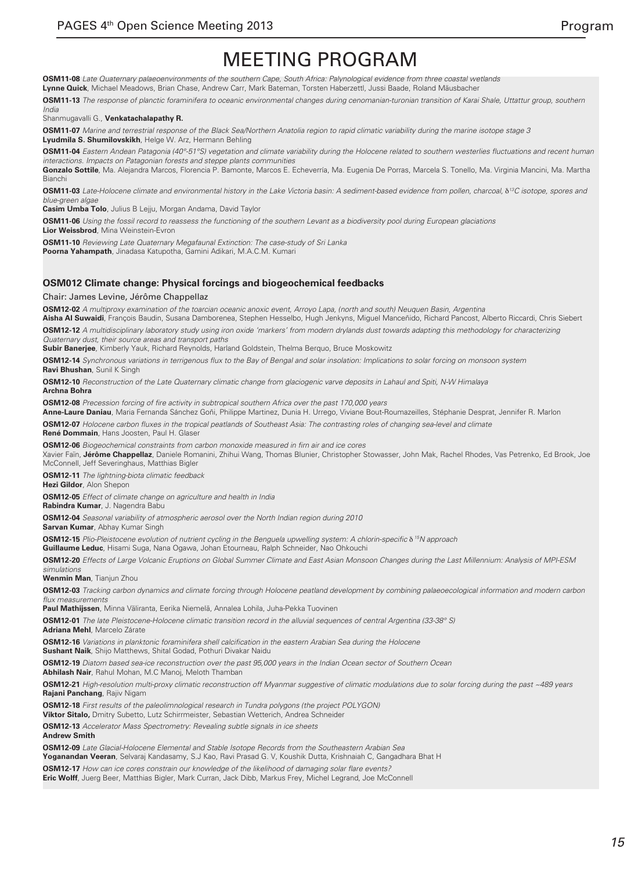**OSM11-08** Late Quaternary palaeoenvironments of the southern Cape, South Africa: Palynological evidence from three coastal wetlands **Lynne Quick**, Michael Meadows, Brian Chase, Andrew Carr, Mark Bateman, Torsten Haberzettl, Jussi Baade, Roland Mäusbacher

**OSM11-13** The response of planctic foraminifera to oceanic environmental changes during cenomanian-turonian transition of Karai Shale, Uttattur group, southern *India*

Shanmugavalli G., **Venkatachalapathy R.**

**OSM11-07** Marine and terrestrial response of the Black Sea/Northern Anatolia region to rapid climatic variability during the marine isotope stage 3 **Lyudmila S. Shumilovskikh**, Helge W. Arz, Hermann Behling

**OSM11-04** Eastern Andean Patagonia (40°-51°S) vegetation and climate variability during the Holocene related to southern westerlies fluctuations and recent human interactions. Impacts on Patagonian forests and steppe plants communities

**Gonzalo Sottile**, Ma. Alejandra Marcos, Florencia P. Bamonte, Marcos E. Echeverría, Ma. Eugenia De Porras, Marcela S. Tonello, Ma. Virginia Mancini, Ma. Martha **Bianch** 

**OSM11-03** Late-Holocene climate and environmental history in the Lake Victoria basin: A sediment-based evidence from pollen, charcoal, δ<sup>13</sup>*C isotope, spores and*  blue-green algae

**Casim Umba Tolo**, Julius B Lejju, Morgan Andama, David Taylor

**OSM11-06** Using the fossil record to reassess the functioning of the southern Levant as a biodiversity pool during European glaciations **Lior Weissbrod**, Mina Weinstein-Evron

**OSM11-10** Reviewing Late Quaternary Megafaunal Extinction: The case-study of Sri Lanka **Poorna Yahampath**, Jinadasa Katupotha, Gamini Adikari, M.A.C.M. Kumari

### **OSM012 Climate change: Physical forcings and biogeochemical feedbacks**

Chair: James Levine, Jérôme Chappellaz

**OSM12-02** A multiproxy examination of the toarcian oceanic anoxic event, Arroyo Lapa, (north and south) Neuquen Basin, Argentina **Aisha Al Suwaidi**, François Baudin, Susana Damborenea, Stephen Hesselbo, Hugh Jenkyns, Miguel Manceñido, Richard Pancost, Alberto Riccardi, Chris Siebert

**OSM12-12** A multidisciplinary laboratory study using iron oxide 'markers' from modern drylands dust towards adapting this methodology for characterizing Quaternary dust, their source areas and transport paths

**Subir Banerjee**, Kimberly Yauk, Richard Reynolds, Harland Goldstein, Thelma Berquo, Bruce Moskowitz

**OSM12-14** Synchronous variations in terrigenous flux to the Bay of Bengal and solar insolation: Implications to solar forcing on monsoon system **Ravi Bhushan**, Sunil K Singh

**OSM12-10** Reconstruction of the Late Quaternary climatic change from glaciogenic varve deposits in Lahaul and Spiti, N-W Himalaya

**Archna Bohra**

**OSM12-08** Precession forcing of fire activity in subtropical southern Africa over the past 170,000 years

**Anne-Laure Daniau**, Maria Fernanda Sánchez Goñi, Philippe Martinez, Dunia H. Urrego, Viviane Bout-Roumazeilles, Stéphanie Desprat, Jennifer R. Marlon

**OSM12-07** Holocene carbon fluxes in the tropical peatlands of Southeast Asia: The contrasting roles of changing sea-level and climate

**René Dommain**, Hans Joosten, Paul H. Glaser

**OSM12-06** Biogeochemical constraints from carbon monoxide measured in firn air and ice cores

Xavier Faïn, **Jérôme Chappellaz**, Daniele Romanini, Zhihui Wang, Thomas Blunier, Christopher Stowasser, John Mak, Rachel Rhodes, Vas Petrenko, Ed Brook, Joe McConnell, Jeff Severinghaus, Matthias Bigler

**OSM12-11** The lightning-biota climatic feedback

**Hezi Gildor**, Alon Shepon

**OSM12-05** Effect of climate change on agriculture and health in India **Rabindra Kumar**, J. Nagendra Babu

**OSM12-04** Seasonal variability of atmospheric aerosol over the North Indian region during 2010

**Sarvan Kumar**, Abhay Kumar Singh

**OSM12-15** Plio-Pleistocene evolution of nutrient cycling in the Benguela upwelling system: A chlorin-specific δ<sup>15</sup>N approach

**Guillaume Leduc**, Hisami Suga, Nana Ogawa, Johan Etourneau, Ralph Schneider, Nao Ohkouchi

**OSM12-20** Effects of Large Volcanic Eruptions on Global Summer Climate and East Asian Monsoon Changes during the Last Millennium: Analysis of MPI-ESM simulations

**Wenmin Man**, Tianjun Zhou

**OSM12-03** Tracking carbon dynamics and climate forcing through Holocene peatland development by combining palaeoecological information and modern carbon flux measurements

**Paul Mathijssen**, Minna Väliranta, Eerika Niemelä, Annalea Lohila, Juha-Pekka Tuovinen

**OSM12-01** The late Pleistocene-Holocene climatic transition record in the alluvial sequences of central Argentina (33-38° S)

**Adriana Mehl**, Marcelo Zárate

**OSM12-16** Variations in planktonic foraminifera shell calcification in the eastern Arabian Sea during the Holocene **Sushant Naik**, Shijo Matthews, Shital Godad, Pothuri Divakar Naidu

**OSM12-19** Diatom based sea-ice reconstruction over the past 95,000 years in the Indian Ocean sector of Southern Ocean

**Abhilash Nair**, Rahul Mohan, M.C Manoj, Meloth Thamban

**OSM12-21** High-resolution multi-proxy climatic reconstruction off Myanmar suggestive of climatic modulations due to solar forcing during the past ~489 years **Rajani Panchang**, Rajiv Nigam

**OSM12-18** First results of the paleolimnological research in Tundra polygons (the project POLYGON)

**Viktor Sitalo,** Dmitry Subetto, Lutz Schirrmeister, Sebastian Wetterich, Andrea Schneider

**OSM12-13** Accelerator Mass Spectrometry: Revealing subtle signals in ice sheets

**Andrew Smith**

**OSM12-09** Late Glacial-Holocene Elemental and Stable Isotope Records from the Southeastern Arabian Sea

**Yoganandan Veeran**, Selvaraj Kandasamy, S.J Kao, Ravi Prasad G. V, Koushik Dutta, Krishnaiah C, Gangadhara Bhat H

**OSM12-17** How can ice cores constrain our knowledge of the likelihood of damaging solar flare events?

**Eric Wolff**, Juerg Beer, Matthias Bigler, Mark Curran, Jack Dibb, Markus Frey, Michel Legrand, Joe McConnell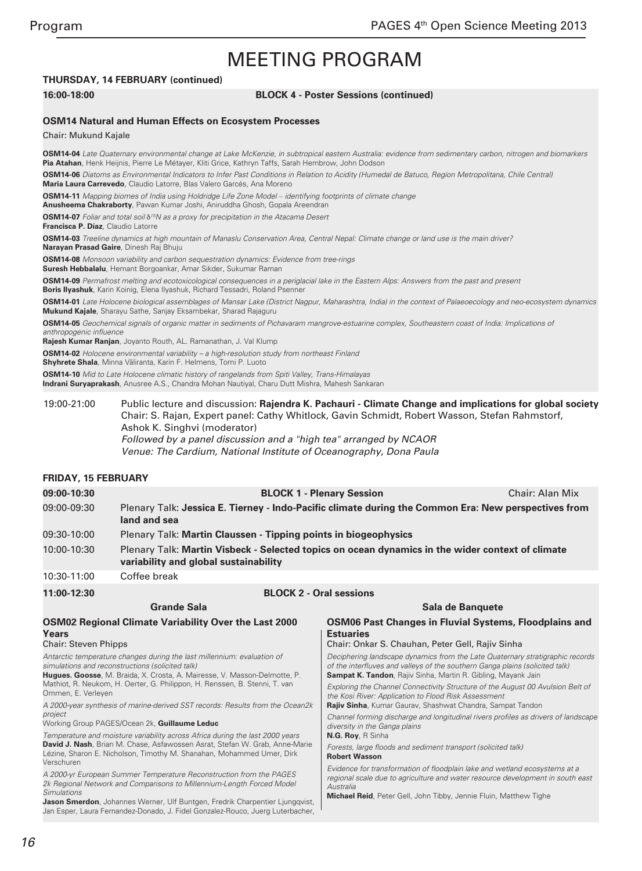### **THURSDAY, 14 FEBRUARY (continued)**

#### **16:00-18:00 BLOCK 4 - Poster Sessions (continued)**

#### **OSM14 Natural and Human Effects on Ecosystem Processes**

Chair: Mukund Kajale

**OSM14-04** Late Quaternary environmental change at Lake McKenzie, in subtropical eastern Australia: evidence from sedimentary carbon, nitrogen and biomarkers **Pia Atahan**, Henk Heijnis, Pierre Le Métayer, Kliti Grice, Kathryn Taffs, Sarah Hembrow, John Dodson **OSM14-06** Diatoms as Environmental Indicators to Infer Past Conditions in Relation to Acidity (Humedal de Batuco, Regíon Metropolitana, Chile Central) **Maria Laura Carrevedo**, Claudio Latorre, Blas Valero Garcés, Ana Moreno **OSM14-11** Mapping biomes of India using Holdridge Life Zone Model *‒* identifying footprints of climate change **Anusheema Chakraborty**, Pawan Kumar Joshi, Aniruddha Ghosh, Gopala Areendran **OSM14-07** Foliar and total soil δ<sup>15</sup>N as a proxy for precipitation in the Atacama Desert **Francisca P. Díaz**, Claudio Latorre **OSM14-03** Treeline dynamics at high mountain of Manaslu Conservation Area, Central Nepal: Climate change or land use is the main driver? **Narayan Prasad Gaire**, Dinesh Raj Bhuju **OSM14-08** Monsoon variability and carbon sequestration dynamics: Evidence from tree-rings **Suresh Hebbalalu**, Hemant Borgoankar, Amar Sikder, Sukumar Raman **OSM14-09** Permafrost melting and ecotoxicological consequences in a periglacial lake in the Eastern Alps: Answers from the past and present **Boris Ilyashuk**, Karin Koinig, Elena Ilyashuk, Richard Tessadri, Roland Psenner **OSM14-01** Late Holocene biological assemblages of Mansar Lake (District Nagpur, Maharashtra, India) in the context of Palaeoecology and neo-ecosystem dynamics **Mukund Kajale**, Sharayu Sathe, Sanjay Eksambekar, Sharad Rajaguru **OSM14-05** Geochemical signals of organic matter in sediments of Pichavaram mangrove-estuarine complex, Southeastern coast of India: Implications of anthropogenic influence **Rajesh Kumar Ranjan**, Joyanto Routh, AL. Ramanathan, J. Val Klump **OSM14-02** Holocene environmental variability – a high-resolution study from northeast Finland **Shyhrete Shala**, Minna Väliranta, Karin F. Helmens, Tomi P. Luoto **OSM14-10** Mid to Late Holocene climatic history of rangelands from Spiti Valley, Trans-Himalayas **Indrani Suryaprakash**, Anusree A.S., Chandra Mohan Nautiyal, Charu Dutt Mishra, Mahesh Sankaran 19:00-21:00 Public lecture and discussion: **Rajendra K. Pachauri - Climate Change and implications for global society**

# Chair: S. Rajan, Expert panel: Cathy Whitlock, Gavin Schmidt, Robert Wasson, Stefan Rahmstorf, Ashok K. Singhvi (moderator) *Followed by a panel discussion and a "high tea" arranged by NCAOR Venue: The Cardium, National Institute of Oceanography, Dona Paula*

#### **FRIDAY, 15 FEBRUARY**

| 09:00-10:30 | <b>BLOCK 1 - Plenary Session</b>                                                                                                          | Chair: Alan Mix |
|-------------|-------------------------------------------------------------------------------------------------------------------------------------------|-----------------|
| 09:00-09:30 | Plenary Talk: Jessica E. Tierney - Indo-Pacific climate during the Common Era: New perspectives from<br>land and sea                      |                 |
| 09:30-10:00 | Plenary Talk: Martin Claussen - Tipping points in biogeophysics                                                                           |                 |
| 10:00-10:30 | Plenary Talk: Martin Visbeck - Selected topics on ocean dynamics in the wider context of climate<br>variability and global sustainability |                 |
| 10:30-11:00 | Coffee break                                                                                                                              |                 |

**Grande Sala OSM02 Regional Climate Variability Over the Last 2000 Years** Chair: Steven Phipps Antarctic temperature changes during the last millennium: evaluation of simulations and reconstructions (solicited talk) **Estuaries**

**11:00-12:30 BLOCK 2 - Oral sessions**

**Hugues. Goosse**, M. Braida, X. Crosta, A. Mairesse, V. Masson-Delmotte, P. Mathiot, R. Neukom, H. Oerter, G. Philippon, H. Renssen, B. Stenni, T. van Ommen, E. Verleyen

A 2000-year synthesis of marine-derived SST records: Results from the Ocean2k project

Working Group PAGES/Ocean 2k, **Guillaume Leduc**

Temperature and moisture variability across Africa during the last 2000 years **David J. Nash**, Brian M. Chase, Asfawossen Asrat, Stefan W. Grab, Anne-Marie Lézine, Sharon E. Nicholson, Timothy M. Shanahan, Mohammed Umer, Dirk Verschuren

A 2000-yr European Summer Temperature Reconstruction from the PAGES 2k Regional Network and Comparisons to Millennium-Length Forced Model **Simulations** 

**Jason Smerdon**, Johannes Werner, Ulf Buntgen, Fredrik Charpentier Liungqvist, Jan Esper, Laura Fernandez-Donado, J. Fidel Gonzalez-Rouco, Juerg Luterbacher,

# **Sala de Banquete OSM06 Past Changes in Fluvial Systems, Floodplains and**

Chair: Onkar S. Chauhan, Peter Gell, Rajiv Sinha

Deciphering landscape dynamics from the Late Quaternary stratigraphic records of the interfluves and valleys of the southern Ganga plains (solicited talk) **Sampat K. Tandon**, Rajiv Sinha, Martin R. Gibling, Mayank Jain

Exploring the Channel Connectivity Structure of the August 00 Avulsion Belt of the Kosi River: Application to Flood Risk Assessment **Rajiv Sinha**, Kumar Gaurav, Shashwat Chandra, Sampat Tandon

Channel forming discharge and longitudinal rivers profiles as drivers of landscape diversity in the Ganga plains

#### **N.G. Roy**, R Sinha

Forests, large floods and sediment transport (solicited talk) **Robert Wasson**

Evidence for transformation of floodplain lake and wetland ecosystems at a regional scale due to agriculture and water resource development in south east **Australia** 

**Michael Reid**, Peter Gell, John Tibby, Jennie Fluin, Matthew Tighe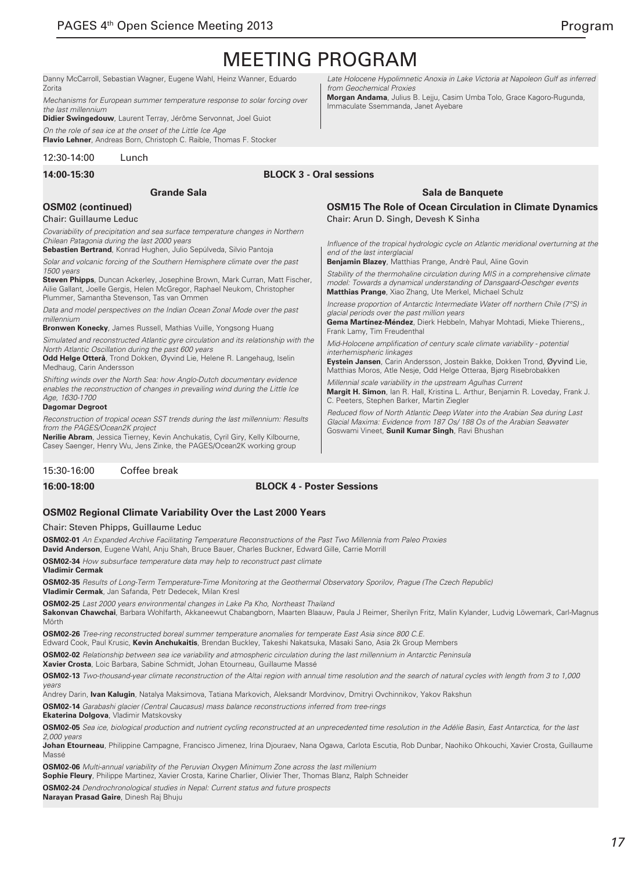Danny McCarroll, Sebastian Wagner, Eugene Wahl, Heinz Wanner, Eduardo Zorita

Mechanisms for European summer temperature response to solar forcing over the last millennium

**Didier Swingedouw**, Laurent Terray, Jérôme Servonnat, Joel Guiot On the role of sea ice at the onset of the Little Ice Age

**Flavio Lehner**, Andreas Born, Christoph C. Raible, Thomas F. Stocker

12:30-14:00 Lunch

**14:00-15:30 BLOCK 3 - Oral sessions**

### **OSM02 (continued)**

#### Chair: Guillaume Leduc

Covariability of precipitation and sea surface temperature changes in Northern Chilean Patagonia during the last 2000 years

**Grande Sala**

**Sebastien Bertrand**, Konrad Hughen, Julio Sepúlveda, Silvio Pantoja

Solar and volcanic forcing of the Southern Hemisphere climate over the past 1500 years

**Steven Phipps**, Duncan Ackerley, Josephine Brown, Mark Curran, Matt Fischer, Ailie Gallant, Joelle Gergis, Helen McGregor, Raphael Neukom, Christopher Plummer, Samantha Stevenson, Tas van Ommen

Data and model perspectives on the Indian Ocean Zonal Mode over the past millennium

**Bronwen Konecky**, James Russell, Mathias Vuille, Yongsong Huang

Simulated and reconstructed Atlantic gyre circulation and its relationship with the North Atlantic Oscillation during the past 600 years

**Odd Helge Otterå**, Trond Dokken, Øyvind Lie, Helene R. Langehaug, Iselin Medhaug, Carin Andersson

Shifting winds over the North Sea: how Anglo-Dutch documentary evidence enables the reconstruction of changes in prevailing wind during the Little Ice Age, 1630-1700

#### **Dagomar Degroot**

Reconstruction of tropical ocean SST trends during the last millennium: Results from the PAGES/Ocean2K project

**Nerilie Abram**, Jessica Tierney, Kevin Anchukatis, Cyril Giry, Kelly Kilbourne, Casey Saenger, Henry Wu, Jens Zinke, the PAGES/Ocean2K working group

### 15:30-16:00 Coffee break

#### **16:00-18:00 BLOCK 4 - Poster Sessions**

### **OSM02 Regional Climate Variability Over the Last 2000 Years**

#### Chair: Steven Phipps, Guillaume Leduc

**OSM02-01** An Expanded Archive Facilitating Temperature Reconstructions of the Past Two Millennia from Paleo Proxies

**David Anderson**, Eugene Wahl, Anju Shah, Bruce Bauer, Charles Buckner, Edward Gille, Carrie Morrill

**OSM02-34** How subsurface temperature data may help to reconstruct past climate **Vladimir Cermak**

**OSM02-35** Results of Long-Term Temperature-Time Monitoring at the Geothermal Observatory Sporilov, Prague (The Czech Republic) **Vladimir Cermak**, Jan Safanda, Petr Dedecek, Milan Kresl

**OSM02-25** Last 2000 years environmental changes in Lake Pa Kho, Northeast Thailand

**Sakonvan Chawchai**, Barbara Wohlfarth, Akkaneewut Chabangborn, Maarten Blaauw, Paula J Reimer, Sherilyn Fritz, Malin Kylander, Ludvig Löwemark, Carl-Magnus Mörth

**OSM02-26** Tree-ring reconstructed boreal summer temperature anomalies for temperate East Asia since 800 C.E.

Edward Cook, Paul Krusic, **Kevin Anchukaitis**, Brendan Buckley, Takeshi Nakatsuka, Masaki Sano, Asia 2k Group Members

**OSM02-02** Relationship between sea ice variability and atmospheric circulation during the last millennium in Antarctic Peninsula

**Xavier Crosta**, Loic Barbara, Sabine Schmidt, Johan Etourneau, Guillaume Massé

**OSM02-13** Two-thousand-year climate reconstruction of the Altai region with annual time resolution and the search of natural cycles with length from 3 to 1,000 *years*

Andrey Darin, **Ivan Kalugin**, Natalya Maksimova, Tatiana Markovich, Aleksandr Mordvinov, Dmitryi Ovchinnikov, Yakov Rakshun

**OSM02-14** Garabashi glacier (Central Caucasus) mass balance reconstructions inferred from tree-rings **Ekaterina Dolgova**, Vladimir Matskovsky

**OSM02-05** Sea ice, biological production and nutrient cycling reconstructed at an unprecedented time resolution in the Adélie Basin, East Antarctica, for the last 2,000 years

**Johan Etourneau**, Philippine Campagne, Francisco Jimenez, Irina Djouraev, Nana Ogawa, Carlota Escutia, Rob Dunbar, Naohiko Ohkouchi, Xavier Crosta, Guillaume Massé

**OSM02-06** Multi-annual variability of the Peruvian Oxygen Minimum Zone across the last millenium **Sophie Fleury**, Philippe Martinez, Xavier Crosta, Karine Charlier, Olivier Ther, Thomas Blanz, Ralph Schneider

**OSM02-24** Dendrochronological studies in Nepal: Current status and future prospects

**Narayan Prasad Gaire**, Dinesh Raj Bhuju

Late Holocene Hypolimnetic Anoxia in Lake Victoria at Napoleon Gulf as inferred from Geochemical Proxies

**Morgan Andama**, Julius B. Lejju, Casim Umba Tolo, Grace Kagoro-Rugunda, Immaculate Ssemmanda, Janet Ayebare

### **Sala de Banquete**

**OSM15 The Role of Ocean Circulation in Climate Dynamics** Chair: Arun D. Singh, Devesh K Sinha

Influence of the tropical hydrologic cycle on Atlantic meridional overturning at the end of the last interglacial

**Benjamin Blazey**, Matthias Prange, Andrè Paul, Aline Govin

Stability of the thermohaline circulation during MIS in a comprehensive climate model: Towards a dynamical understanding of Dansgaard-Oeschger events **Matthias Prange**, Xiao Zhang, Ute Merkel, Michael Schulz

Increase proportion of Antarctic Intermediate Water off northern Chile (7°S) in glacial periods over the past million years

**Gema Martínez-Méndez**, Dierk Hebbeln, Mahyar Mohtadi, Mieke Thierens,, Frank Lamy, Tim Freudenthal

Mid-Holocene amplification of century scale climate variability - potential interhemispheric linkages

**Eystein Jansen**, Carin Andersson, Jostein Bakke, Dokken Trond, Øyvind Lie, Matthias Moros, Atle Nesje, Odd Helge Otteraa, Bjørg Risebrobakken

Millennial scale variability in the upstream Agulhas Current **Margit H. Simon**, Ian R. Hall, Kristina L. Arthur, Benjamin R. Loveday, Frank J. C. Peeters, Stephen Barker, Martin Ziegler

Reduced flow of North Atlantic Deep Water into the Arabian Sea during Last Glacial Maxima: Evidence from 187 Os/ 188 Os of the Arabian Seawater Goswami Vineet, **Sunil Kumar Singh**, Ravi Bhushan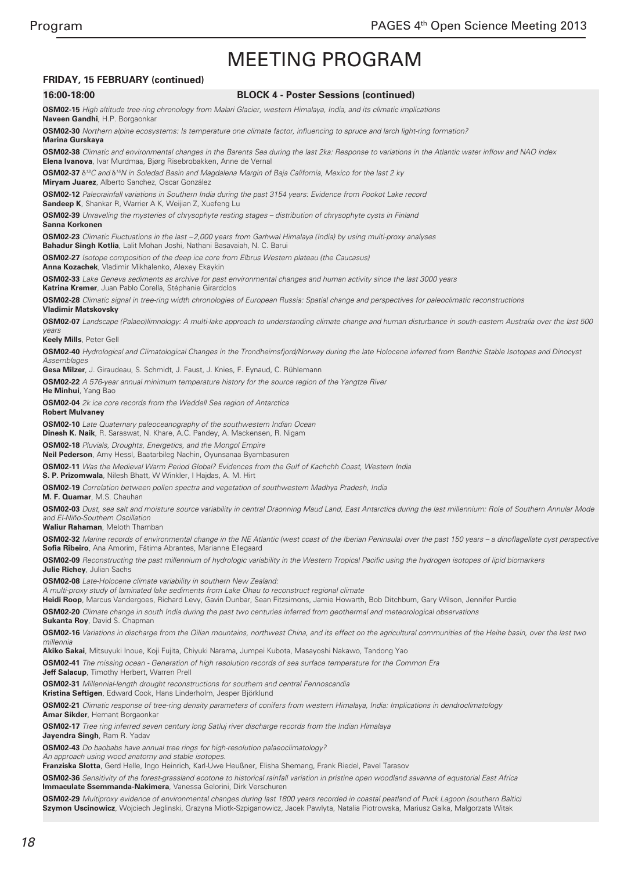### **FRIDAY, 15 FEBRUARY (continued)**

#### **16:00-18:00 BLOCK 4 - Poster Sessions (continued)**

**OSM02-15** High altitude tree-ring chronology from Malari Glacier, western Himalaya, India, and its climatic implications **Naveen Gandhi**, H.P. Borgaonkar

**OSM02-30** Northern alpine ecosystems: Is temperature one climate factor, influencing to spruce and larch light-ring formation? **Marina Gurskaya**

**OSM02-38** Climatic and environmental changes in the Barents Sea during the last 2ka: Response to variations in the Atlantic water inflow and NAO index **Elena Ivanova**, Ivar Murdmaa, Bjørg Risebrobakken, Anne de Vernal

**OSM02-37** δ<sup>13</sup>C and δ<sup>15</sup>N in Soledad Basin and Magdalena Margin of Baja California, Mexico for the last 2 ky **Miryam Juarez**, Alberto Sanchez, Oscar González

**OSM02-12** Paleorainfall variations in Southern India during the past 3154 years: Evidence from Pookot Lake record

**Sandeep K**, Shankar R, Warrier A K, Weijian Z, Xuefeng Lu

**OSM02-39** Unraveling the mysteries of chrysophyte resting stages – distribution of chrysophyte cysts in Finland **Sanna Korkonen**

**OSM02-23** Climatic Fluctuations in the last ~2,000 years from Garhwal Himalaya (India) by using multi-proxy analyses **Bahadur Singh Kotlia**, Lalit Mohan Joshi, Nathani Basavaiah, N. C. Barui

**OSM02-27** Isotope composition of the deep ice core from Elbrus Western plateau (the Caucasus) **Anna Kozachek**, Vladimir Mikhalenko, Alexey Ekaykin

**OSM02-33** Lake Geneva sediments as archive for past environmental changes and human activity since the last 3000 years

**Katrina Kremer**, Juan Pablo Corella, Stéphanie Girardclos

**OSM02-28** Climatic signal in tree-ring width chronologies of European Russia: Spatial change and perspectives for paleoclimatic reconstructions **Vladimir Matskovsky**

**OSM02-07** Landscape (Palaeo)limnology: A multi-lake approach to understanding climate change and human disturbance in south-eastern Australia over the last 500 *years*

**Keely Mills**, Peter Gell

**OSM02-40** Hydrological and Climatological Changes in the Trondheimsfjord/Norway during the late Holocene inferred from Benthic Stable Isotopes and Dinocyst **Assemblages** 

**Gesa Milzer**, J. Giraudeau, S. Schmidt, J. Faust, J. Knies, F. Eynaud, C. Rühlemann

**OSM02-22** A 576-year annual minimum temperature history for the source region of the Yangtze River

**He Minhui**, Yang Bao

**OSM02-04** 2k ice core records from the Weddell Sea region of Antarctica

**Robert Mulvaney**

**OSM02-10** Late Quaternary paleoceanography of the southwestern Indian Ocean

**Dinesh K. Naik**, R. Saraswat, N. Khare, A.C. Pandey, A. Mackensen, R. Nigam

**OSM02-18** Pluvials, Droughts, Energetics, and the Mongol Empire **Neil Pederson**, Amy Hessl, Baatarbileg Nachin, Oyunsanaa Byambasuren

**OSM02-11** Was the Medieval Warm Period Global? Evidences from the Gulf of Kachchh Coast, Western India

**S. P. Prizomwala**, Nilesh Bhatt, W Winkler, I Hajdas, A. M. Hirt

**OSM02-19** Correlation between pollen spectra and vegetation of southwestern Madhya Pradesh, India

**M. F. Quamar**, M.S. Chauhan

**OSM02-03** Dust, sea salt and moisture source variability in central Draonning Maud Land, East Antarctica during the last millennium: Role of Southern Annular Mode and El-Niño-Southern Oscillation

**Waliur Rahaman**, Meloth Thamban

**OSM02-32** Marine records of environmental change in the NE Atlantic (west coast of the Iberian Peninsula) over the past 150 years – a dinoflagellate cyst perspective **Sofia Ribeiro**, Ana Amorim, Fátima Abrantes, Marianne Ellegaard

**OSM02-09** Reconstructing the past millennium of hydrologic variability in the Western Tropical Pacific using the hydrogen isotopes of lipid biomarkers **Julie Richey**, Julian Sachs

**OSM02-08** Late-Holocene climate variability in southern New Zealand:

A multi-proxy study of laminated lake sediments from Lake Ohau to reconstruct regional climate

**Heidi Roop**, Marcus Vandergoes, Richard Levy, Gavin Dunbar, Sean Fitzsimons, Jamie Howarth, Bob Ditchburn, Gary Wilson, Jennifer Purdie

**OSM02-20** Climate change in south India during the past two centuries inferred from geothermal and meteorological observations

**Sukanta Roy**, David S. Chapman

**OSM02-16** Variations in discharge from the Qilian mountains, northwest China, and its effect on the agricultural communities of the Heihe basin, over the last two *millennia*

**Akiko Sakai**, Mitsuyuki Inoue, Koji Fujita, Chiyuki Narama, Jumpei Kubota, Masayoshi Nakawo, Tandong Yao

**OSM02-41** The missing ocean - Generation of high resolution records of sea surface temperature for the Common Era

**Jeff Salacup**, Timothy Herbert, Warren Prell

**OSM02-31** Millennial-length drought reconstructions for southern and central Fennoscandia

**Kristina Seftigen**, Edward Cook, Hans Linderholm, Jesper Björklund

**OSM02-21** Climatic response of tree-ring density parameters of conifers from western Himalaya, India: Implications in dendroclimatology

**Amar Sikder**, Hemant Borgaonkar

**OSM02-17** Tree ring inferred seven century long Satluj river discharge records from the Indian Himalaya

**Jayendra Singh**, Ram R. Yadav

**OSM02-43** Do baobabs have annual tree rings for high-resolution palaeoclimatology?

An approach using wood anatomy and stable isotopes.

**Franziska Slotta**, Gerd Helle, Ingo Heinrich, Karl-Uwe Heußner, Elisha Shemang, Frank Riedel, Pavel Tarasov

**OSM02-36** Sensitivity of the forest-grassland ecotone to historical rainfall variation in pristine open woodland savanna of equatorial East Africa **Immaculate Ssemmanda-Nakimera**, Vanessa Gelorini, Dirk Verschuren

**OSM02-29** Multiproxy evidence of environmental changes during last 1800 years recorded in coastal peatland of Puck Lagoon (southern Baltic) **Szymon Uscinowicz**, Wojciech Jeglinski, Grazyna Miotk-Szpiganowicz, Jacek Pawlyta, Natalia Piotrowska, Mariusz Galka, Malgorzata Witak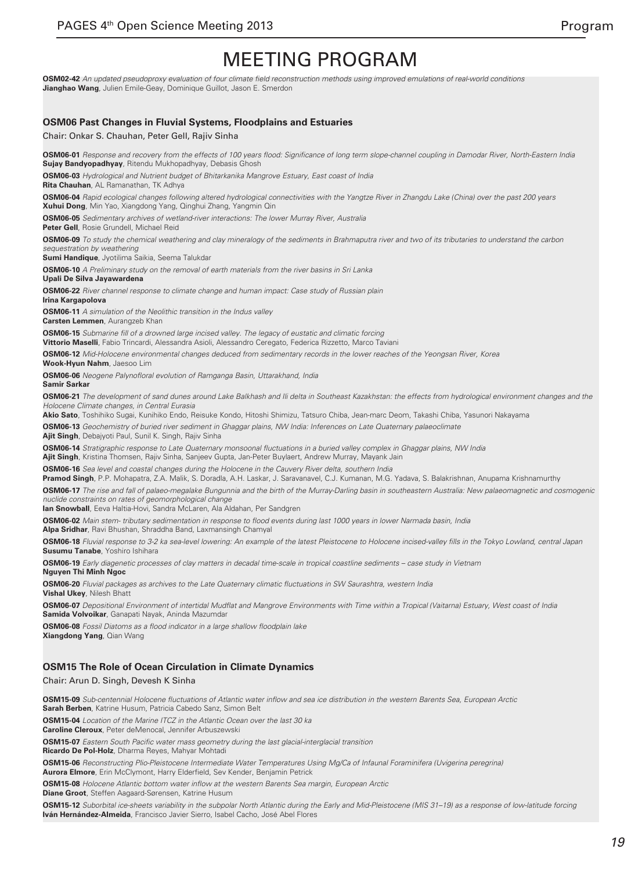**OSM02-42** An updated pseudoproxy evaluation of four climate field reconstruction methods using improved emulations of real-world conditions **Jianghao Wang**, Julien Emile-Geay, Dominique Guillot, Jason E. Smerdon

#### **OSM06 Past Changes in Fluvial Systems, Floodplains and Estuaries**

Chair: Onkar S. Chauhan, Peter Gell, Rajiv Sinha

**OSM06-01** Response and recovery from the effects of 100 years flood: Significance of long term slope-channel coupling in Damodar River, North-Eastern India **Sujay Bandyopadhyay**, Ritendu Mukhopadhyay, Debasis Ghosh

**OSM06-03** Hydrological and Nutrient budget of Bhitarkanika Mangrove Estuary, East coast of India

**Rita Chauhan**, AL Ramanathan, TK Adhya

**OSM06-04** Rapid ecological changes following altered hydrological connectivities with the Yangtze River in Zhangdu Lake (China) over the past 200 years **Xuhui Dong**, Min Yao, Xiangdong Yang, Qinghui Zhang, Yangmin Qin

**OSM06-05** Sedimentary archives of wetland-river interactions: The lower Murray River, Australia

**Peter Gell**, Rosie Grundell, Michael Reid

**OSM06-09** To study the chemical weathering and clay mineralogy of the sediments in Brahmaputra river and two of its tributaries to understand the carbon sequestration by weathering

**Sumi Handique**, Jyotilima Saikia, Seema Talukdar

**OSM06-10** A Preliminary study on the removal of earth materials from the river basins in Sri Lanka

**Upali De Silva Jayawardena**

**OSM06-22** River channel response to climate change and human impact: Case study of Russian plain

**Irina Kargapolova**

**OSM06-11** A simulation of the Neolithic transition in the Indus valley

**Carsten Lemmen**, Aurangzeb Khan

**Wook-Hyun Nahm**, Jaesoo Lim

**OSM06-15** Submarine fill of a drowned large incised valley. The legacy of eustatic and climatic forcing **Vittorio Maselli**, Fabio Trincardi, Alessandra Asioli, Alessandro Ceregato, Federica Rizzetto, Marco Taviani

**OSM06-12** Mid-Holocene environmental changes deduced from sedimentary records in the lower reaches of the Yeongsan River, Korea

**OSM06-06** Neogene Palynofloral evolution of Ramganga Basin, Uttarakhand, India

**Samir Sarkar**

**OSM06-21** The development of sand dunes around Lake Balkhash and Ili delta in Southeast Kazakhstan: the effects from hydrological environment changes and the Holocene Climate changes, in Central Eurasia

**Akio Sato**, Toshihiko Sugai, Kunihiko Endo, Reisuke Kondo, Hitoshi Shimizu, Tatsuro Chiba, Jean-marc Deom, Takashi Chiba, Yasunori Nakayama

**OSM06-13** Geochemistry of buried river sediment in Ghaggar plains, NW India: Inferences on Late Quaternary palaeoclimate

**Ajit Singh**, Debajyoti Paul, Sunil K. Singh, Rajiv Sinha

**OSM06-14** Stratigraphic response to Late Quaternary monsoonal fluctuations in a buried valley complex in Ghaggar plains, NW India

**Ajit Singh**, Kristina Thomsen, Rajiv Sinha, Sanjeev Gupta, Jan-Peter Buylaert, Andrew Murray, Mayank Jain

**OSM06-16** Sea level and coastal changes during the Holocene in the Cauvery River delta, southern India

**Pramod Singh**, P.P. Mohapatra, Z.A. Malik, S. Doradla, A.H. Laskar, J. Saravanavel, C.J. Kumanan, M.G. Yadava, S. Balakrishnan, Anupama Krishnamurthy **OSM06-17** The rise and fall of palaeo-megalake Bungunnia and the birth of the Murray-Darling basin in southeastern Australia: New palaeomagnetic and cosmogenic nuclide constraints on rates of geomorphological change

**Ian Snowball**, Eeva Haltia-Hovi, Sandra McLaren, Ala Aldahan, Per Sandgren

**OSM06-02** Main stem- tributary sedimentation in response to flood events during last 1000 years in lower Narmada basin, India

**Alpa Sridhar**, Ravi Bhushan, Shraddha Band, Laxmansingh Chamyal

**OSM06-18** Fluvial response to 3-2 ka sea-level lowering: An example of the latest Pleistocene to Holocene incised-valley fills in the Tokyo Lowland, central Japan **Susumu Tanabe**, Yoshiro Ishihara

**OSM06-19** Early diagenetic processes of clay matters in decadal time-scale in tropical coastline sediments – case study in Vietnam

**Nguyen Thi Minh Ngoc**

**OSM06-20** Fluvial packages as archives to the Late Quaternary climatic fluctuations in SW Saurashtra, western India **Vishal Ukey**, Nilesh Bhatt

**OSM06-07** Depositional Environment of intertidal Mudflat and Mangrove Environments with Time within a Tropical (Vaitarna) Estuary, West coast of India **Samida Volvoikar**, Ganapati Nayak, Aninda Mazumdar

**OSM06-08** Fossil Diatoms as a flood indicator in a large shallow floodplain lake **Xiangdong Yang**, Qian Wang

### **OSM15 The Role of Ocean Circulation in Climate Dynamics**

Chair: Arun D. Singh, Devesh K Sinha

**OSM15-09** Sub-centennial Holocene fluctuations of Atlantic water inflow and sea ice distribution in the western Barents Sea, European Arctic **Sarah Berben**, Katrine Husum, Patricia Cabedo Sanz, Simon Belt

**OSM15-04** Location of the Marine ITCZ in the Atlantic Ocean over the last 30 ka

**Caroline Cleroux**, Peter deMenocal, Jennifer Arbuszewski

**OSM15-07** Eastern South Pacific water mass geometry during the last glacial-interglacial transition

**Ricardo De Pol-Holz**, Dharma Reyes, Mahyar Mohtadi

**OSM15-06** Reconstructing Plio-Pleistocene Intermediate Water Temperatures Using Mg/Ca of Infaunal Foraminifera (Uvigerina peregrina) **Aurora Elmore**, Erin McClymont, Harry Elderfield, Sev Kender, Benjamin Petrick

**OSM15-08** Holocene Atlantic bottom water inflow at the western Barents Sea margin, European Arctic

**Diane Groot**, Steffen Aagaard-Sørensen, Katrine Husum

**OSM15-12** Suborbital ice-sheets variability in the subpolar North Atlantic during the Early and Mid-Pleistocene (MIS 31–19) as a response of low-latitude forcing **Iván Hernández-Almeida**, Francisco Javier Sierro, Isabel Cacho, José Abel Flores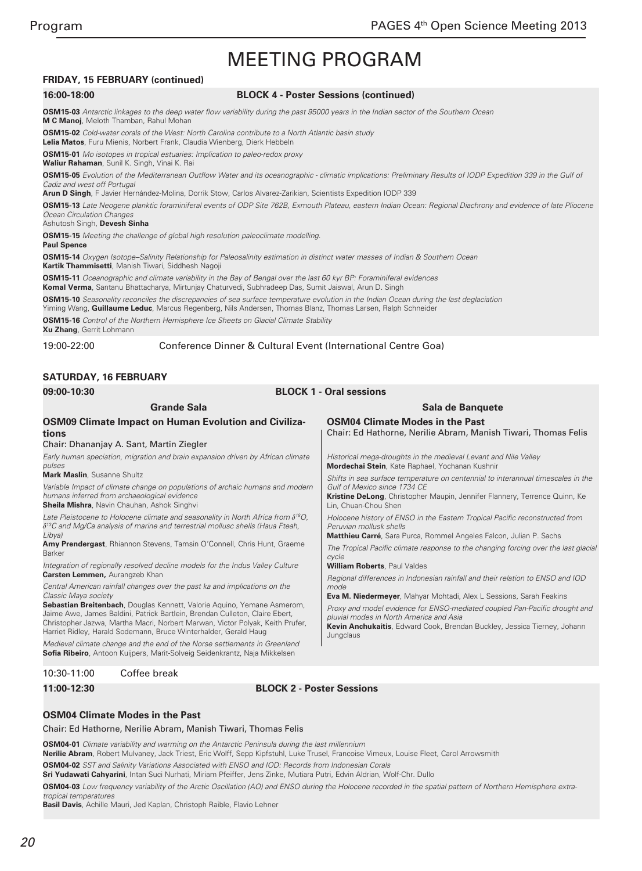### **FRIDAY, 15 FEBRUARY (continued)**

#### **16:00-18:00 BLOCK 4 - Poster Sessions (continued)**

**OSM15-03** Antarctic linkages to the deep water flow variability during the past 95000 years in the Indian sector of the Southern Ocean **M C Manoj**, Meloth Thamban, Rahul Mohan

**OSM15-02** Cold-water corals of the West: North Carolina contribute to a North Atlantic basin study **Lelia Matos**, Furu Mienis, Norbert Frank, Claudia Wienberg, Dierk Hebbeln

**OSM15-01** Mo isotopes in tropical estuaries: Implication to paleo-redox proxy **Waliur Rahaman**, Sunil K. Singh, Vinai K. Rai

**OSM15-05** Evolution of the Mediterranean Outflow Water and its oceanographic - climatic implications: Preliminary Results of IODP Expedition 339 in the Gulf of Cadiz and west off Portugal

**Arun D Singh**, F Javier Hernández-Molina, Dorrik Stow, Carlos Alvarez-Zarikian, Scientists Expedition IODP 339

**OSM15-13** Late Neogene planktic foraminiferal events of ODP Site 762B, Exmouth Plateau, eastern Indian Ocean: Regional Diachrony and evidence of late Pliocene Ocean Circulation Changes

#### Ashutosh Singh, **Devesh Sinha**

**OSM15-15** Meeting the challenge of global high resolution paleoclimate modelling.

**Paul Spence**

**OSM15-14** Oxygen Isotope–Salinity Relationship for Paleosalinity estimation in distinct water masses of Indian & Southern Ocean **Kartik Thammisetti**, Manish Tiwari, Siddhesh Nagoji

**OSM15-11** Oceanographic and climate variability in the Bay of Bengal over the last 60 kyr BP: Foraminiferal evidences

**Komal Verma**, Santanu Bhattacharya, Mirtunjay Chaturvedi, Subhradeep Das, Sumit Jaiswal, Arun D. Singh

**OSM15-10** Seasonality reconciles the discrepancies of sea surface temperature evolution in the Indian Ocean during the last deglaciation

Yiming Wang, **Guillaume Leduc**, Marcus Regenberg, Nils Andersen, Thomas Blanz, Thomas Larsen, Ralph Schneider

**OSM15-16** Control of the Northern Hemisphere Ice Sheets on Glacial Climate Stability

**Xu Zhang**, Gerrit Lohmann

### 19:00-22:00 Conference Dinner & Cultural Event (International Centre Goa)

#### **SATURDAY, 16 FEBRUARY**

| 09:00-10:30                                                                                                                                                     | <b>BLOCK 1 - Oral sessions</b>                                                                           |  |
|-----------------------------------------------------------------------------------------------------------------------------------------------------------------|----------------------------------------------------------------------------------------------------------|--|
| <b>Grande Sala</b>                                                                                                                                              | Sala de Banguete                                                                                         |  |
| OSM09 Climate Impact on Human Evolution and Civiliza-<br>tions<br>Chair: Dhananjay A. Sant, Martin Ziegler                                                      | <b>OSM04 Climate Modes in the Past</b><br>Chair: Ed Hathorne, Nerilie Abram, Manish Tiwari, Thomas Felis |  |
| Early human speciation, migration and brain expansion driven by African climate                                                                                 | Historical mega-droughts in the medieval Levant and Nile Valley                                          |  |
| pulses                                                                                                                                                          | Mordechai Stein, Kate Raphael, Yochanan Kushnir                                                          |  |
| <b>Mark Maslin</b> , Susanne Shultz                                                                                                                             | Shifts in sea surface temperature on centennial to interannual timescales in the                         |  |
| Variable Impact of climate change on populations of archaic humans and modern                                                                                   | Gulf of Mexico since 1734 CE                                                                             |  |
| humans inferred from archaeological evidence                                                                                                                    | Kristine DeLong, Christopher Maupin, Jennifer Flannery, Terrence Quinn, Ke                               |  |
| Sheila Mishra, Navin Chauhan, Ashok Singhvi                                                                                                                     | Lin, Chuan-Chou Shen                                                                                     |  |
| Late Pleistocene to Holocene climate and seasonality in North Africa from $\delta^{18}O$ ,                                                                      | Holocene history of ENSO in the Eastern Tropical Pacific reconstructed from                              |  |
| $\delta^{13}C$ and Mq/Ca analysis of marine and terrestrial mollusc shells (Haua Fteah,                                                                         | Peruvian mollusk shells                                                                                  |  |
| Libya)                                                                                                                                                          | Matthieu Carré, Sara Purca, Rommel Angeles Falcon, Julian P. Sachs                                       |  |
| <b>Amy Prendergast</b> , Rhiannon Stevens, Tamsin O'Connell, Chris Hunt, Graeme                                                                                 | The Tropical Pacific climate response to the changing forcing over the last glacial                      |  |
| Barker                                                                                                                                                          | cycle                                                                                                    |  |
| Integration of regionally resolved decline models for the Indus Valley Culture                                                                                  | <b>William Roberts, Paul Valdes</b>                                                                      |  |
| Carsten Lemmen, Aurangzeb Khan                                                                                                                                  | Regional differences in Indonesian rainfall and their relation to ENSO and IOD                           |  |
| Central American rainfall changes over the past ka and implications on the                                                                                      | mode                                                                                                     |  |
| Classic Maya society                                                                                                                                            | <b>Eva M. Niedermeyer</b> , Mahyar Mohtadi, Alex L Sessions, Sarah Feakins                               |  |
| Sebastian Breitenbach, Douglas Kennett, Valorie Aquino, Yemane Asmerom,                                                                                         | Proxy and model evidence for ENSO-mediated coupled Pan-Pacific drought and                               |  |
| Jaime Awe, James Baldini, Patrick Bartlein, Brendan Culleton, Claire Ebert,                                                                                     | pluvial modes in North America and Asia                                                                  |  |
| Christopher Jazwa, Martha Macri, Norbert Marwan, Victor Polyak, Keith Prufer,                                                                                   | <b>Kevin Anchukaitis</b> , Edward Cook, Brendan Buckley, Jessica Tierney, Johann                         |  |
| Harriet Ridley, Harald Sodemann, Bruce Winterhalder, Gerald Haug                                                                                                | Jungclaus                                                                                                |  |
| Medieval climate change and the end of the Norse settlements in Greenland<br><b>Sofia Ribeiro</b> , Antoon Kuijpers, Marit-Solveig Seidenkrantz, Naja Mikkelsen |                                                                                                          |  |

#### 10:30-11:00 Coffee break

#### **11:00-12:30 BLOCK 2 - Poster Sessions**

#### **OSM04 Climate Modes in the Past**

Chair: Ed Hathorne, Nerilie Abram, Manish Tiwari, Thomas Felis

**OSM04-01** Climate variability and warming on the Antarctic Peninsula during the last millennium

**Nerilie Abram**, Robert Mulvaney, Jack Triest, Eric Wolff, Sepp Kipfstuhl, Luke Trusel, Francoise Vimeux, Louise Fleet, Carol Arrowsmith

**OSM04-02** SST and Salinity Variations Associated with ENSO and IOD: Records from Indonesian Corals

**Sri Yudawati Cahyarini**, Intan Suci Nurhati, Miriam Pfeiffer, Jens Zinke, Mutiara Putri, Edvin Aldrian, Wolf-Chr. Dullo

**OSM04-03** Low frequency variability of the Arctic Oscillation (AO) and ENSO during the Holocene recorded in the spatial pattern of Northern Hemisphere extratropical temperatures

**Basil Davis**, Achille Mauri, Jed Kaplan, Christoph Raible, Flavio Lehner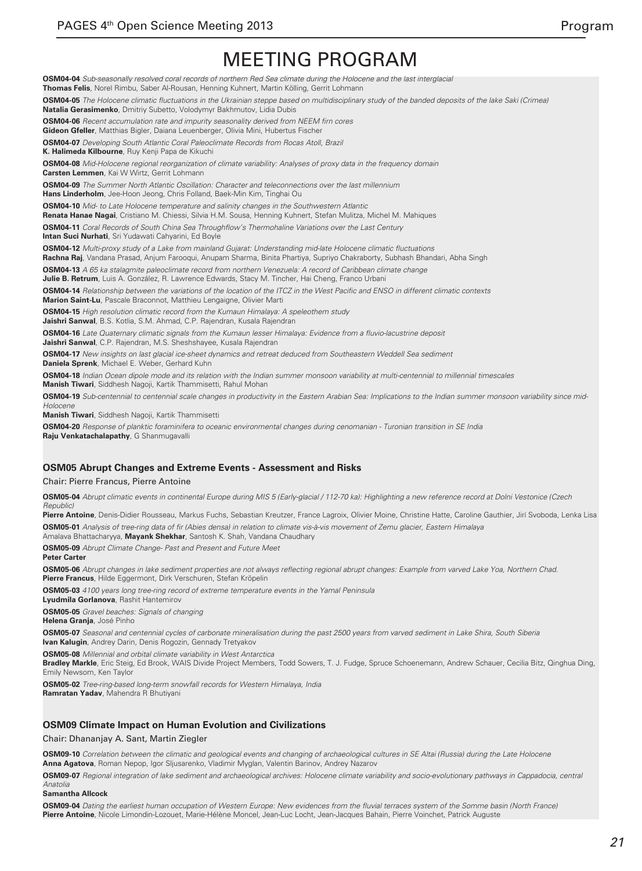**OSM04-04** Sub-seasonally resolved coral records of northern Red Sea climate during the Holocene and the last interglacial **Thomas Felis**, Norel Rimbu, Saber Al-Rousan, Henning Kuhnert, Martin Kölling, Gerrit Lohmann **OSM04-05** The Holocene climatic fluctuations in the Ukrainian steppe based on multidisciplinary study of the banded deposits of the lake Saki (Crimea) **Natalia Gerasimenko**, Dmitriy Subetto, Volodymyr Bakhmutov, Lidia Dubis **OSM04-06** Recent accumulation rate and impurity seasonality derived from NEEM firn cores **Gideon Gfeller**, Matthias Bigler, Daiana Leuenberger, Olivia Mini, Hubertus Fischer **OSM04-07** Developing South Atlantic Coral Paleoclimate Records from Rocas Atoll, Brazil **K. Halimeda Kilbourne**, Ruy Kenji Papa de Kikuchi **OSM04-08** Mid-Holocene regional reorganization of climate variability: Analyses of proxy data in the frequency domain **Carsten Lemmen**, Kai W Wirtz, Gerrit Lohmann **OSM04-09** The Summer North Atlantic Oscillation: Character and teleconnections over the last millennium **Hans Linderholm**, Jee-Hoon Jeong, Chris Folland, Baek-Min Kim, Tinghai Ou **OSM04-10** Mid- to Late Holocene temperature and salinity changes in the Southwestern Atlantic **Renata Hanae Nagai**, Cristiano M. Chiessi, Silvia H.M. Sousa, Henning Kuhnert, Stefan Mulitza, Michel M. Mahiques **OSM04-11** Coral Records of South China Sea Throughflow's Thermohaline Variations over the Last Century **Intan Suci Nurhati**, Sri Yudawati Cahyarini, Ed Boyle **OSM04-12** Multi-proxy study of a Lake from mainland Gujarat: Understanding mid-late Holocene climatic fluctuations **Rachna Raj**, Vandana Prasad, Anjum Farooqui, Anupam Sharma, Binita Phartiya, Supriyo Chakraborty, Subhash Bhandari, Abha Singh **OSM04-13** A 65 ka stalagmite paleoclimate record from northern Venezuela: A record of Caribbean climate change **Julie B. Retrum**, Luis A. González, R. Lawrence Edwards, Stacy M. Tincher, Hai Cheng, Franco Urbani **OSM04-14** Relationship between the variations of the location of the ITCZ in the West Pacific and ENSO in different climatic contexts **Marion Saint-Lu**, Pascale Braconnot, Matthieu Lengaigne, Olivier Marti **OSM04-15** High resolution climatic record from the Kumaun Himalaya: A speleothem study **Jaishri Sanwal**, B.S. Kotlia, S.M. Ahmad, C.P. Rajendran, Kusala Rajendran **OSM04-16** Late Quaternary climatic signals from the Kumaun lesser Himalaya: Evidence from a fluvio-lacustrine deposit **Jaishri Sanwal**, C.P. Rajendran, M.S. Sheshshayee, Kusala Rajendran **OSM04-17** New insights on last glacial ice-sheet dynamics and retreat deduced from Southeastern Weddell Sea sediment **Daniela Sprenk**, Michael E. Weber, Gerhard Kuhn **OSM04-18** Indian Ocean dipole mode and its relation with the Indian summer monsoon variability at multi-centennial to millennial timescales **Manish Tiwari**, Siddhesh Nagoji, Kartik Thammisetti, Rahul Mohan **OSM04-19** Sub-centennial to centennial scale changes in productivity in the Eastern Arabian Sea: Implications to the Indian summer monsoon variability since mid-*Holocene* **Manish Tiwari**, Siddhesh Nagoji, Kartik Thammisetti **OSM04-20** Response of planktic foraminifera to oceanic environmental changes during cenomanian - Turonian transition in SE India **Raju Venkatachalapathy**, G Shanmugavalli **OSM05 Abrupt Changes and Extreme Events - Assessment and Risks** Chair: Pierre Francus, Pierre Antoine **OSM05-04** Abrupt climatic events in continental Europe during MIS 5 (Early-glacial / 112-70 ka): Highlighting a new reference record at Dolni Vestonice (Czech

**Pierre Antoine**, Denis-Didier Rousseau, Markus Fuchs, Sebastian Kreutzer, France Lagroix, Olivier Moine, Christine Hatte, Caroline Gauthier, Jirí Svoboda, Lenka Lisa **OSM05-01** Analysis of tree-ring data of fir (Abies densa) in relation to climate vis-à-vis movement of Zemu glacier, Eastern Himalaya

Amalava Bhattacharyya, **Mayank Shekhar**, Santosh K. Shah, Vandana Chaudhary

**OSM05-09** Abrupt Climate Change- Past and Present and Future Meet

**Peter Carter**

**Republic** 

**OSM05-06** Abrupt changes in lake sediment properties are not always reflecting regional abrupt changes: Example from varved Lake Yoa, Northern Chad. **Pierre Francus**, Hilde Eggermont, Dirk Verschuren, Stefan Kröpelin

**OSM05-03** 4100 years long tree-ring record of extreme temperature events in the Yamal Peninsula

**Lyudmila Gorlanova**, Rashit Hantemirov

**OSM05-05** Gravel beaches: Signals of changing

**Helena Granja**, José Pinho

**OSM05-07** Seasonal and centennial cycles of carbonate mineralisation during the past 2500 years from varved sediment in Lake Shira, South Siberia **Ivan Kalugin**, Andrey Darin, Denis Rogozin, Gennady Tretyakov

**OSM05-08** Millennial and orbital climate variability in West Antarctica

**Bradley Markle**, Eric Steig, Ed Brook, WAIS Divide Project Members, Todd Sowers, T. J. Fudge, Spruce Schoenemann, Andrew Schauer, Cecilia Bitz, Qinghua Ding, Emily Newsom, Ken Taylor

**OSM05-02** Tree-ring-based long-term snowfall records for Western Himalaya, India

**Ramratan Yadav**, Mahendra R Bhutiyani

### **OSM09 Climate Impact on Human Evolution and Civilizations**

Chair: Dhananjay A. Sant, Martin Ziegler

**OSM09-10** Correlation between the climatic and geological events and changing of archaeological cultures in SE Altai (Russia) during the Late Holocene **Anna Agatova**, Roman Nepop, Igor Sljusarenko, Vladimir Myglan, Valentin Barinov, Andrey Nazarov

**OSM09-07** Regional integration of lake sediment and archaeological archives: Holocene climate variability and socio-evolutionary pathways in Cappadocia, central *Anatolia*

**Samantha Allcock**

**OSM09-04** Dating the earliest human occupation of Western Europe: New evidences from the fluvial terraces system of the Somme basin (North France) **Pierre Antoine**, Nicole Limondin-Lozouet, Marie-Hélène Moncel, Jean-Luc Locht, Jean-Jacques Bahain, Pierre Voinchet, Patrick Auguste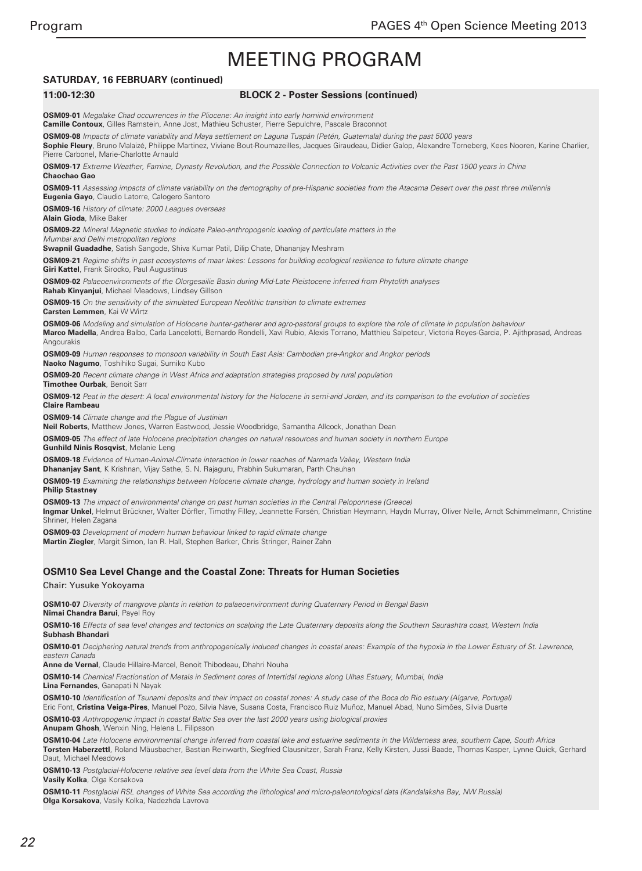## **SATURDAY, 16 FEBRUARY (continued)**

#### **11:00-12:30 BLOCK 2 - Poster Sessions (continued)**

**OSM09-01** Megalake Chad occurrences in the Pliocene: An insight into early hominid environment **Camille Contoux**, Gilles Ramstein, Anne Jost, Mathieu Schuster, Pierre Sepulchre, Pascale Braconnot

**OSM09-08** Impacts of climate variability and Maya settlement on Laguna Tuspán (Petén, Guatemala) during the past 5000 years **Sophie Fleury**, Bruno Malaizé, Philippe Martinez, Viviane Bout-Roumazeilles, Jacques Giraudeau, Didier Galop, Alexandre Torneberg, Kees Nooren, Karine Charlier, Pierre Carbonel, Marie-Charlotte Arnauld

**OSM09-17** Extreme Weather, Famine, Dynasty Revolution, and the Possible Connection to Volcanic Activities over the Past 1500 years in China **Chaochao Gao**

**OSM09-11** Assessing impacts of climate variability on the demography of pre-Hispanic societies from the Atacama Desert over the past three millennia **Eugenia Gayo**, Claudio Latorre, Calogero Santoro

**OSM09-16** History of climate: 2000 Leagues overseas

**Alain Gioda**, Mike Baker

**OSM09-22** Mineral Magnetic studies to indicate Paleo-anthropogenic loading of particulate matters in the

Mumbai and Delhi metropolitan regions **Swapnil Guadadhe**, Satish Sangode, Shiva Kumar Patil, Dilip Chate, Dhananjay Meshram

**OSM09-21** Regime shifts in past ecosystems of maar lakes: Lessons for building ecological resilience to future climate change **Giri Kattel**, Frank Sirocko, Paul Augustinus

**OSM09-02** Palaeoenvironments of the Olorgesailie Basin during Mid-Late Pleistocene inferred from Phytolith analyses **Rahab Kinyanjui**, Michael Meadows, Lindsey Gillson

**OSM09-15** On the sensitivity of the simulated European Neolithic transition to climate extremes **Carsten Lemmen**, Kai W Wirtz

**OSM09-06** Modeling and simulation of Holocene hunter-gatherer and agro-pastoral groups to explore the role of climate in population behaviour **Marco Madella**, Andrea Balbo, Carla Lancelotti, Bernardo Rondelli, Xavi Rubio, Alexis Torrano, Matthieu Salpeteur, Victoria Reyes-Garcia, P. Ajithprasad, Andreas Angourakis

**OSM09-09** Human responses to monsoon variability in South East Asia: Cambodian pre-Angkor and Angkor periods **Naoko Nagumo**, Toshihiko Sugai, Sumiko Kubo

**OSM09-20** Recent climate change in West Africa and adaptation strategies proposed by rural population **Timothee Ourbak**, Benoit Sarr

**OSM09-12** Peat in the desert: A local environmental history for the Holocene in semi-arid Jordan, and its comparison to the evolution of societies **Claire Rambeau**

**OSM09-14** Climate change and the Plague of Justinian

**Neil Roberts**, Matthew Jones, Warren Eastwood, Jessie Woodbridge, Samantha Allcock, Jonathan Dean

**OSM09-05** The effect of late Holocene precipitation changes on natural resources and human society in northern Europe

**Gunhild Ninis Rosqvist**, Melanie Leng

**OSM09-18** Evidence of Human-Animal-Climate interaction in lower reaches of Narmada Valley, Western India **Dhananjay Sant**, K Krishnan, Vijay Sathe, S. N. Rajaguru, Prabhin Sukumaran, Parth Chauhan

**OSM09-19** Examining the relationships between Holocene climate change, hydrology and human society in Ireland **Philip Stastney**

**OSM09-13** The impact of environmental change on past human societies in the Central Peloponnese (Greece) **Ingmar Unkel**, Helmut Brückner, Walter Dörfler, Timothy Filley, Jeannette Forsén, Christian Heymann, Haydn Murray, Oliver Nelle, Arndt Schimmelmann, Christine Shriner, Helen Zagana

**OSM09-03** Development of modern human behaviour linked to rapid climate change **Martin Ziegler**, Margit Simon, Ian R. Hall, Stephen Barker, Chris Stringer, Rainer Zahn

### **OSM10 Sea Level Change and the Coastal Zone: Threats for Human Societies**

Chair: Yusuke Yokoyama

**OSM10-07** Diversity of mangrove plants in relation to palaeoenvironment during Quaternary Period in Bengal Basin **Nimai Chandra Barui**, Payel Roy

**OSM10-16** Effects of sea level changes and tectonics on scalping the Late Quaternary deposits along the Southern Saurashtra coast, Western India **Subhash Bhandari**

**OSM10-01** Deciphering natural trends from anthropogenically induced changes in coastal areas: Example of the hypoxia in the Lower Estuary of St. Lawrence, *eastern Canada*

**Anne de Vernal**, Claude Hillaire-Marcel, Benoit Thibodeau, Dhahri Nouha

**OSM10-14** Chemical Fractionation of Metals in Sediment cores of Intertidal regions along Ulhas Estuary, Mumbai, India **Lina Fernandes**, Ganapati N Nayak

**OSM10-10** Identification of Tsunami deposits and their impact on coastal zones: A study case of the Boca do Rio estuary (Algarve, Portugal) Eric Font, **Cristina Veiga-Pires**, Manuel Pozo, Silvia Nave, Susana Costa, Francisco Ruiz Muñoz, Manuel Abad, Nuno Simões, Silvia Duarte

**OSM10-03** Anthropogenic impact in coastal Baltic Sea over the last 2000 years using biological proxies

**Anupam Ghosh**, Wenxin Ning, Helena L. Filipsson

**OSM10-04** Late Holocene environmental change inferred from coastal lake and estuarine sediments in the Wilderness area, southern Cape, South Africa **Torsten Haberzettl**, Roland Mäusbacher, Bastian Reinwarth, Siegfried Clausnitzer, Sarah Franz, Kelly Kirsten, Jussi Baade, Thomas Kasper, Lynne Quick, Gerhard Daut, Michael Meadows

**OSM10-13** Postglacial-Holocene relative sea level data from the White Sea Coast, Russia **Vasily Kolka**, Olga Korsakova

**OSM10-11** Postglacial RSL changes of White Sea according the lithological and micro-paleontological data (Kandalaksha Bay, NW Russia) **Olga Korsakova**, Vasily Kolka, Nadezhda Lavrova